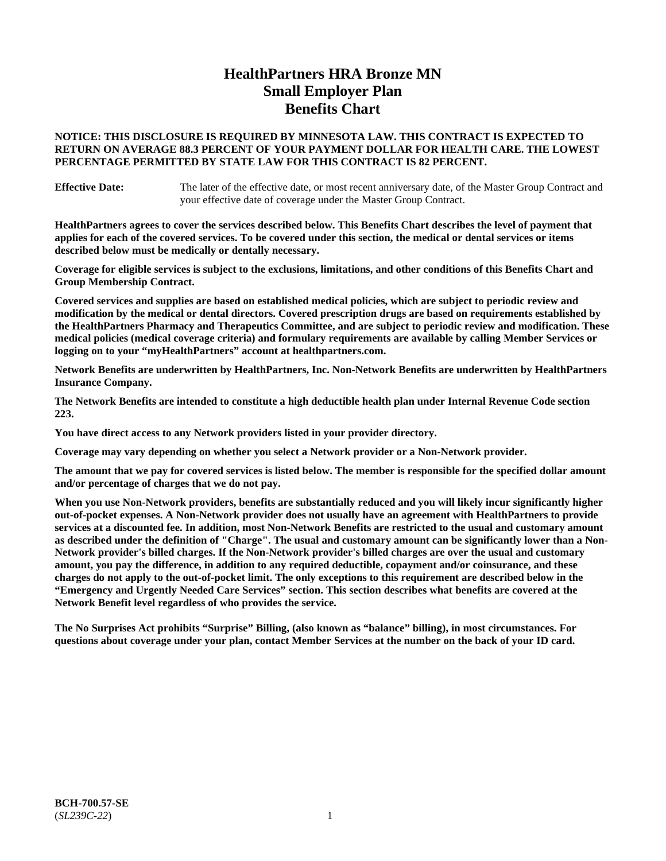# **HealthPartners HRA Bronze MN Small Employer Plan Benefits Chart**

## **NOTICE: THIS DISCLOSURE IS REQUIRED BY MINNESOTA LAW. THIS CONTRACT IS EXPECTED TO RETURN ON AVERAGE 88.3 PERCENT OF YOUR PAYMENT DOLLAR FOR HEALTH CARE. THE LOWEST PERCENTAGE PERMITTED BY STATE LAW FOR THIS CONTRACT IS 82 PERCENT.**

**Effective Date:** The later of the effective date, or most recent anniversary date, of the Master Group Contract and your effective date of coverage under the Master Group Contract.

**HealthPartners agrees to cover the services described below. This Benefits Chart describes the level of payment that applies for each of the covered services. To be covered under this section, the medical or dental services or items described below must be medically or dentally necessary.**

**Coverage for eligible services is subject to the exclusions, limitations, and other conditions of this Benefits Chart and Group Membership Contract.**

**Covered services and supplies are based on established medical policies, which are subject to periodic review and modification by the medical or dental directors. Covered prescription drugs are based on requirements established by the HealthPartners Pharmacy and Therapeutics Committee, and are subject to periodic review and modification. These medical policies (medical coverage criteria) and formulary requirements are available by calling Member Services or logging on to your "myHealthPartners" account at [healthpartners.com.](https://www.healthpartners.com/hp/index.html)**

**Network Benefits are underwritten by HealthPartners, Inc. Non-Network Benefits are underwritten by HealthPartners Insurance Company.** 

**The Network Benefits are intended to constitute a high deductible health plan under Internal Revenue Code section 223.** 

**You have direct access to any Network providers listed in your provider directory.**

**Coverage may vary depending on whether you select a Network provider or a Non-Network provider.**

**The amount that we pay for covered services is listed below. The member is responsible for the specified dollar amount and/or percentage of charges that we do not pay.**

**When you use Non-Network providers, benefits are substantially reduced and you will likely incur significantly higher out-of-pocket expenses. A Non-Network provider does not usually have an agreement with HealthPartners to provide services at a discounted fee. In addition, most Non-Network Benefits are restricted to the usual and customary amount as described under the definition of "Charge". The usual and customary amount can be significantly lower than a Non-Network provider's billed charges. If the Non-Network provider's billed charges are over the usual and customary amount, you pay the difference, in addition to any required deductible, copayment and/or coinsurance, and these charges do not apply to the out-of-pocket limit. The only exceptions to this requirement are described below in the "Emergency and Urgently Needed Care Services" section. This section describes what benefits are covered at the Network Benefit level regardless of who provides the service.**

**The No Surprises Act prohibits "Surprise" Billing, (also known as "balance" billing), in most circumstances. For questions about coverage under your plan, contact Member Services at the number on the back of your ID card.**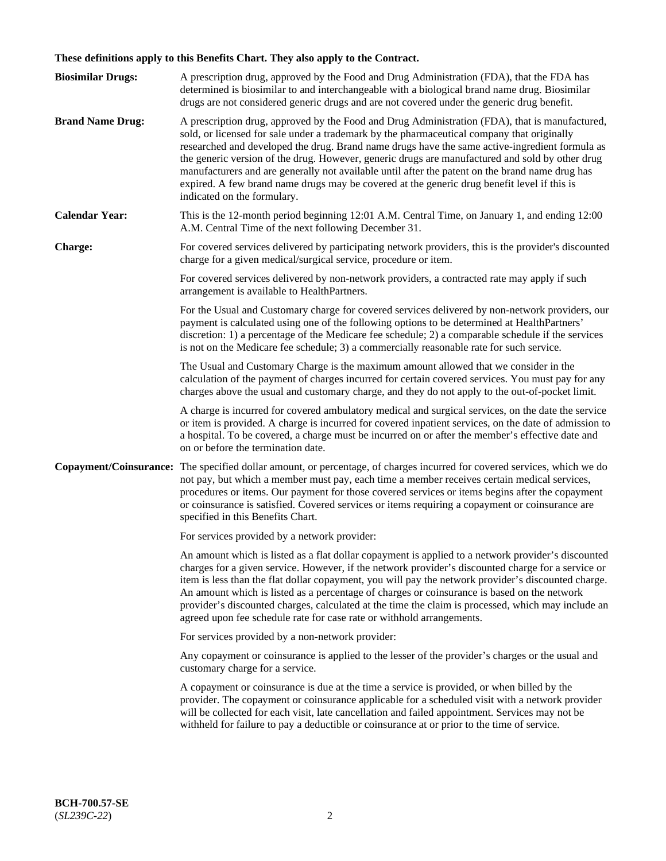# **These definitions apply to this Benefits Chart. They also apply to the Contract.**

| <b>Biosimilar Drugs:</b> | A prescription drug, approved by the Food and Drug Administration (FDA), that the FDA has<br>determined is biosimilar to and interchangeable with a biological brand name drug. Biosimilar<br>drugs are not considered generic drugs and are not covered under the generic drug benefit.                                                                                                                                                                                                                                                                                                                                           |
|--------------------------|------------------------------------------------------------------------------------------------------------------------------------------------------------------------------------------------------------------------------------------------------------------------------------------------------------------------------------------------------------------------------------------------------------------------------------------------------------------------------------------------------------------------------------------------------------------------------------------------------------------------------------|
| <b>Brand Name Drug:</b>  | A prescription drug, approved by the Food and Drug Administration (FDA), that is manufactured,<br>sold, or licensed for sale under a trademark by the pharmaceutical company that originally<br>researched and developed the drug. Brand name drugs have the same active-ingredient formula as<br>the generic version of the drug. However, generic drugs are manufactured and sold by other drug<br>manufacturers and are generally not available until after the patent on the brand name drug has<br>expired. A few brand name drugs may be covered at the generic drug benefit level if this is<br>indicated on the formulary. |
| <b>Calendar Year:</b>    | This is the 12-month period beginning 12:01 A.M. Central Time, on January 1, and ending 12:00<br>A.M. Central Time of the next following December 31.                                                                                                                                                                                                                                                                                                                                                                                                                                                                              |
| <b>Charge:</b>           | For covered services delivered by participating network providers, this is the provider's discounted<br>charge for a given medical/surgical service, procedure or item.                                                                                                                                                                                                                                                                                                                                                                                                                                                            |
|                          | For covered services delivered by non-network providers, a contracted rate may apply if such<br>arrangement is available to HealthPartners.                                                                                                                                                                                                                                                                                                                                                                                                                                                                                        |
|                          | For the Usual and Customary charge for covered services delivered by non-network providers, our<br>payment is calculated using one of the following options to be determined at HealthPartners'<br>discretion: 1) a percentage of the Medicare fee schedule; 2) a comparable schedule if the services<br>is not on the Medicare fee schedule; 3) a commercially reasonable rate for such service.                                                                                                                                                                                                                                  |
|                          | The Usual and Customary Charge is the maximum amount allowed that we consider in the<br>calculation of the payment of charges incurred for certain covered services. You must pay for any<br>charges above the usual and customary charge, and they do not apply to the out-of-pocket limit.                                                                                                                                                                                                                                                                                                                                       |
|                          | A charge is incurred for covered ambulatory medical and surgical services, on the date the service<br>or item is provided. A charge is incurred for covered inpatient services, on the date of admission to<br>a hospital. To be covered, a charge must be incurred on or after the member's effective date and<br>on or before the termination date.                                                                                                                                                                                                                                                                              |
| Copayment/Coinsurance:   | The specified dollar amount, or percentage, of charges incurred for covered services, which we do<br>not pay, but which a member must pay, each time a member receives certain medical services,<br>procedures or items. Our payment for those covered services or items begins after the copayment<br>or coinsurance is satisfied. Covered services or items requiring a copayment or coinsurance are<br>specified in this Benefits Chart.                                                                                                                                                                                        |
|                          | For services provided by a network provider:                                                                                                                                                                                                                                                                                                                                                                                                                                                                                                                                                                                       |
|                          | An amount which is listed as a flat dollar copayment is applied to a network provider's discounted<br>charges for a given service. However, if the network provider's discounted charge for a service or<br>item is less than the flat dollar copayment, you will pay the network provider's discounted charge.<br>An amount which is listed as a percentage of charges or coinsurance is based on the network<br>provider's discounted charges, calculated at the time the claim is processed, which may include an<br>agreed upon fee schedule rate for case rate or withhold arrangements.                                      |
|                          | For services provided by a non-network provider:                                                                                                                                                                                                                                                                                                                                                                                                                                                                                                                                                                                   |
|                          | Any copayment or coinsurance is applied to the lesser of the provider's charges or the usual and<br>customary charge for a service.                                                                                                                                                                                                                                                                                                                                                                                                                                                                                                |
|                          | A copayment or coinsurance is due at the time a service is provided, or when billed by the<br>provider. The copayment or coinsurance applicable for a scheduled visit with a network provider<br>will be collected for each visit, late cancellation and failed appointment. Services may not be<br>withheld for failure to pay a deductible or coinsurance at or prior to the time of service.                                                                                                                                                                                                                                    |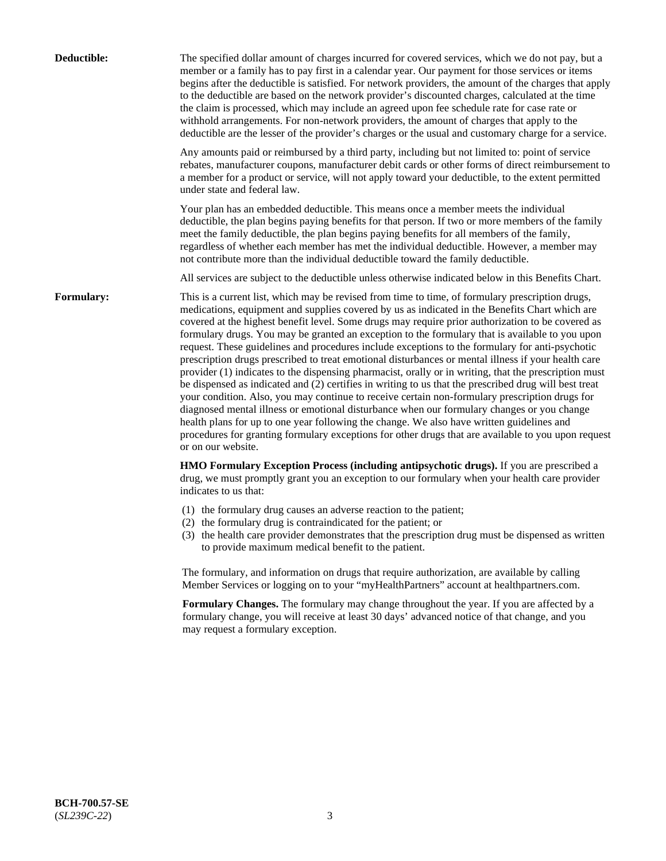| Deductible:       | The specified dollar amount of charges incurred for covered services, which we do not pay, but a<br>member or a family has to pay first in a calendar year. Our payment for those services or items<br>begins after the deductible is satisfied. For network providers, the amount of the charges that apply<br>to the deductible are based on the network provider's discounted charges, calculated at the time<br>the claim is processed, which may include an agreed upon fee schedule rate for case rate or<br>withhold arrangements. For non-network providers, the amount of charges that apply to the<br>deductible are the lesser of the provider's charges or the usual and customary charge for a service.                                                                                                                                                                                                                                                                                                                                                                                                                                                                                                                                             |
|-------------------|------------------------------------------------------------------------------------------------------------------------------------------------------------------------------------------------------------------------------------------------------------------------------------------------------------------------------------------------------------------------------------------------------------------------------------------------------------------------------------------------------------------------------------------------------------------------------------------------------------------------------------------------------------------------------------------------------------------------------------------------------------------------------------------------------------------------------------------------------------------------------------------------------------------------------------------------------------------------------------------------------------------------------------------------------------------------------------------------------------------------------------------------------------------------------------------------------------------------------------------------------------------|
|                   | Any amounts paid or reimbursed by a third party, including but not limited to: point of service<br>rebates, manufacturer coupons, manufacturer debit cards or other forms of direct reimbursement to<br>a member for a product or service, will not apply toward your deductible, to the extent permitted<br>under state and federal law.                                                                                                                                                                                                                                                                                                                                                                                                                                                                                                                                                                                                                                                                                                                                                                                                                                                                                                                        |
|                   | Your plan has an embedded deductible. This means once a member meets the individual<br>deductible, the plan begins paying benefits for that person. If two or more members of the family<br>meet the family deductible, the plan begins paying benefits for all members of the family,<br>regardless of whether each member has met the individual deductible. However, a member may<br>not contribute more than the individual deductible toward the family deductible.                                                                                                                                                                                                                                                                                                                                                                                                                                                                                                                                                                                                                                                                                                                                                                                         |
|                   | All services are subject to the deductible unless otherwise indicated below in this Benefits Chart.                                                                                                                                                                                                                                                                                                                                                                                                                                                                                                                                                                                                                                                                                                                                                                                                                                                                                                                                                                                                                                                                                                                                                              |
| <b>Formulary:</b> | This is a current list, which may be revised from time to time, of formulary prescription drugs,<br>medications, equipment and supplies covered by us as indicated in the Benefits Chart which are<br>covered at the highest benefit level. Some drugs may require prior authorization to be covered as<br>formulary drugs. You may be granted an exception to the formulary that is available to you upon<br>request. These guidelines and procedures include exceptions to the formulary for anti-psychotic<br>prescription drugs prescribed to treat emotional disturbances or mental illness if your health care<br>provider (1) indicates to the dispensing pharmacist, orally or in writing, that the prescription must<br>be dispensed as indicated and (2) certifies in writing to us that the prescribed drug will best treat<br>your condition. Also, you may continue to receive certain non-formulary prescription drugs for<br>diagnosed mental illness or emotional disturbance when our formulary changes or you change<br>health plans for up to one year following the change. We also have written guidelines and<br>procedures for granting formulary exceptions for other drugs that are available to you upon request<br>or on our website. |
|                   | HMO Formulary Exception Process (including antipsychotic drugs). If you are prescribed a<br>drug, we must promptly grant you an exception to our formulary when your health care provider<br>indicates to us that:                                                                                                                                                                                                                                                                                                                                                                                                                                                                                                                                                                                                                                                                                                                                                                                                                                                                                                                                                                                                                                               |
|                   | (1) the formulary drug causes an adverse reaction to the patient;<br>(2) the formulary drug is contraindicated for the patient; or<br>(3) the health care provider demonstrates that the prescription drug must be dispensed as written<br>to provide maximum medical benefit to the patient.                                                                                                                                                                                                                                                                                                                                                                                                                                                                                                                                                                                                                                                                                                                                                                                                                                                                                                                                                                    |
|                   | The formulary, and information on drugs that require authorization, are available by calling<br>Member Services or logging on to your "myHealthPartners" account at healthpartners.com.                                                                                                                                                                                                                                                                                                                                                                                                                                                                                                                                                                                                                                                                                                                                                                                                                                                                                                                                                                                                                                                                          |
|                   | Formulary Changes. The formulary may change throughout the year. If you are affected by a<br>formulary change, you will receive at least 30 days' advanced notice of that change, and you<br>may request a formulary exception.                                                                                                                                                                                                                                                                                                                                                                                                                                                                                                                                                                                                                                                                                                                                                                                                                                                                                                                                                                                                                                  |
|                   |                                                                                                                                                                                                                                                                                                                                                                                                                                                                                                                                                                                                                                                                                                                                                                                                                                                                                                                                                                                                                                                                                                                                                                                                                                                                  |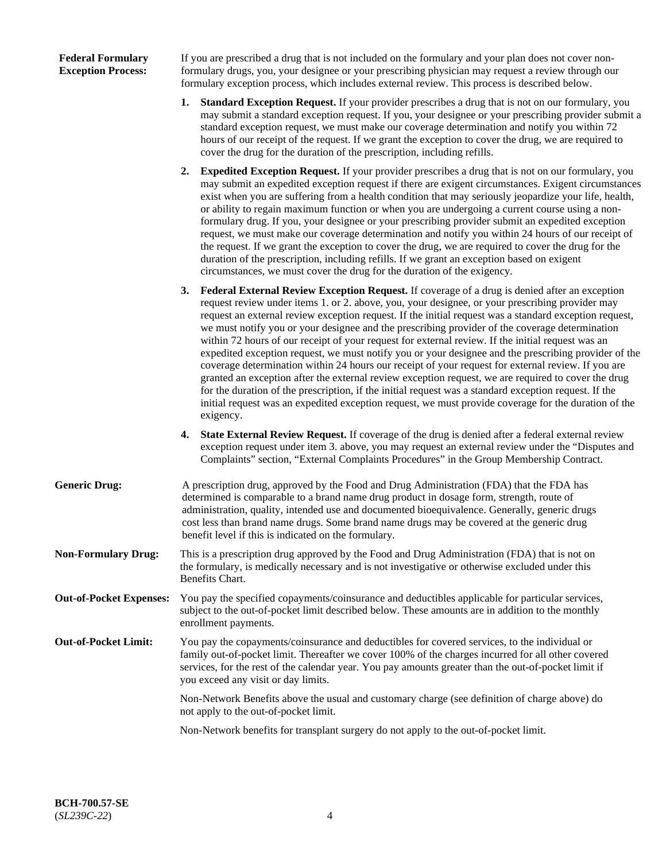## **Federal Formulary Exception Process:**

If you are prescribed a drug that is not included on the formulary and your plan does not cover nonformulary drugs, you, your designee or your prescribing physician may request a review through our formulary exception process, which includes external review. This process is described below.

- **1. Standard Exception Request.** If your provider prescribes a drug that is not on our formulary, you may submit a standard exception request. If you, your designee or your prescribing provider submit a standard exception request, we must make our coverage determination and notify you within 72 hours of our receipt of the request. If we grant the exception to cover the drug, we are required to cover the drug for the duration of the prescription, including refills.
- **2. Expedited Exception Request.** If your provider prescribes a drug that is not on our formulary, you may submit an expedited exception request if there are exigent circumstances. Exigent circumstances exist when you are suffering from a health condition that may seriously jeopardize your life, health, or ability to regain maximum function or when you are undergoing a current course using a nonformulary drug. If you, your designee or your prescribing provider submit an expedited exception request, we must make our coverage determination and notify you within 24 hours of our receipt of the request. If we grant the exception to cover the drug, we are required to cover the drug for the duration of the prescription, including refills. If we grant an exception based on exigent circumstances, we must cover the drug for the duration of the exigency.
- **3. Federal External Review Exception Request.** If coverage of a drug is denied after an exception request review under items 1. or 2. above, you, your designee, or your prescribing provider may request an external review exception request. If the initial request was a standard exception request, we must notify you or your designee and the prescribing provider of the coverage determination within 72 hours of our receipt of your request for external review. If the initial request was an expedited exception request, we must notify you or your designee and the prescribing provider of the coverage determination within 24 hours our receipt of your request for external review. If you are granted an exception after the external review exception request, we are required to cover the drug for the duration of the prescription, if the initial request was a standard exception request. If the initial request was an expedited exception request, we must provide coverage for the duration of the exigency.
- **4. State External Review Request.** If coverage of the drug is denied after a federal external review exception request under item 3. above, you may request an external review under the "Disputes and Complaints" section, "External Complaints Procedures" in the Group Membership Contract.
- **Generic Drug:** A prescription drug, approved by the Food and Drug Administration (FDA) that the FDA has determined is comparable to a brand name drug product in dosage form, strength, route of administration, quality, intended use and documented bioequivalence. Generally, generic drugs cost less than brand name drugs. Some brand name drugs may be covered at the generic drug benefit level if this is indicated on the formulary.
- **Non-Formulary Drug:** This is a prescription drug approved by the Food and Drug Administration (FDA) that is not on the formulary, is medically necessary and is not investigative or otherwise excluded under this Benefits Chart.
- **Out-of-Pocket Expenses:** You pay the specified copayments/coinsurance and deductibles applicable for particular services, subject to the out-of-pocket limit described below. These amounts are in addition to the monthly enrollment payments.
- **Out-of-Pocket Limit:** You pay the copayments/coinsurance and deductibles for covered services, to the individual or family out-of-pocket limit. Thereafter we cover 100% of the charges incurred for all other covered services, for the rest of the calendar year. You pay amounts greater than the out-of-pocket limit if you exceed any visit or day limits.

Non-Network Benefits above the usual and customary charge (see definition of charge above) do not apply to the out-of-pocket limit.

Non-Network benefits for transplant surgery do not apply to the out-of-pocket limit.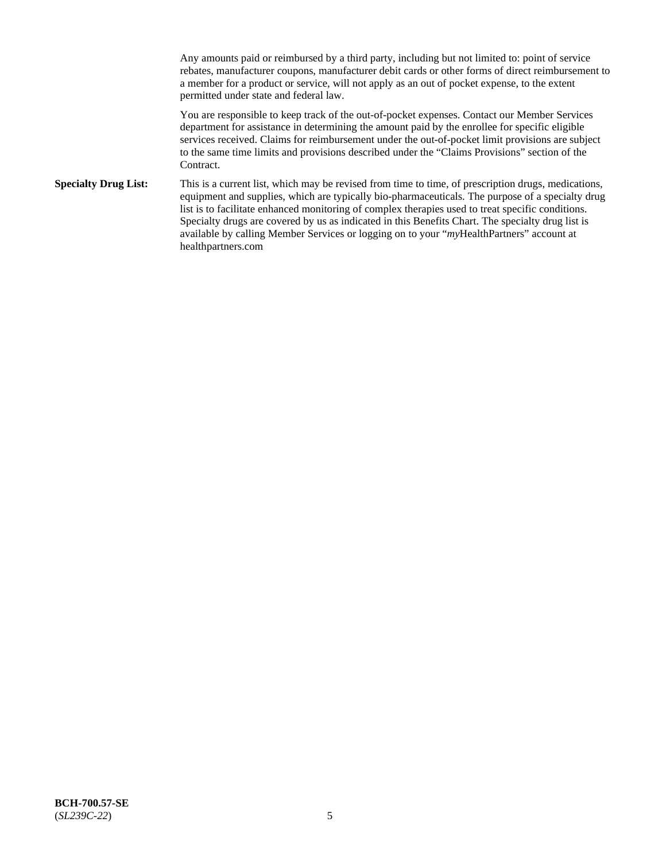Any amounts paid or reimbursed by a third party, including but not limited to: point of service rebates, manufacturer coupons, manufacturer debit cards or other forms of direct reimbursement to a member for a product or service, will not apply as an out of pocket expense, to the extent permitted under state and federal law.

You are responsible to keep track of the out-of-pocket expenses. Contact our Member Services department for assistance in determining the amount paid by the enrollee for specific eligible services received. Claims for reimbursement under the out-of-pocket limit provisions are subject to the same time limits and provisions described under the "Claims Provisions" section of the Contract.

**Specialty Drug List:** This is a current list, which may be revised from time to time, of prescription drugs, medications, equipment and supplies, which are typically bio-pharmaceuticals. The purpose of a specialty drug list is to facilitate enhanced monitoring of complex therapies used to treat specific conditions. Specialty drugs are covered by us as indicated in this Benefits Chart. The specialty drug list is available by calling Member Services or logging on to your "*my*HealthPartners" account at [healthpartners.com](https://www.healthpartners.com/hp/index.html)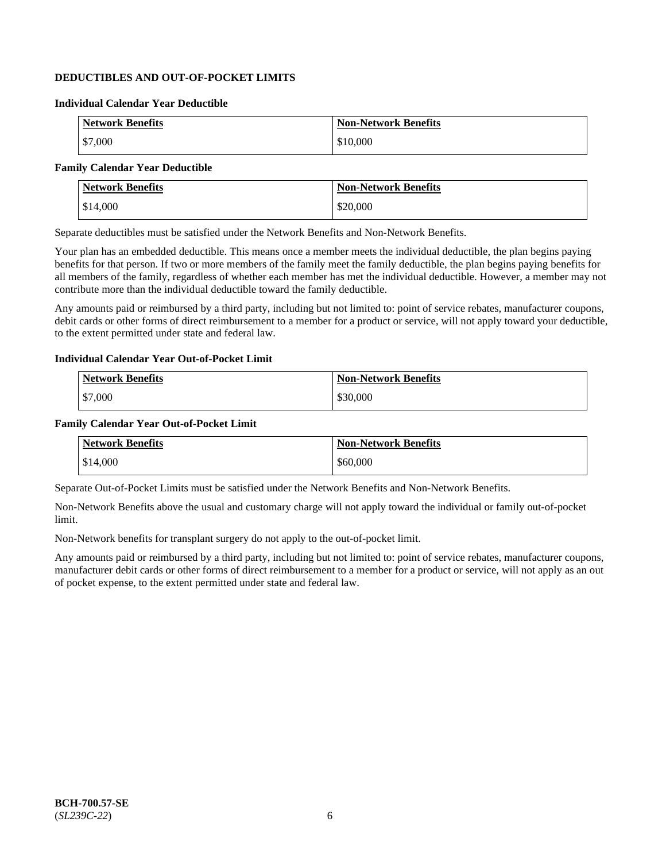## **DEDUCTIBLES AND OUT-OF-POCKET LIMITS**

## **Individual Calendar Year Deductible**

| <b>Network Benefits</b> | <b>Non-Network Benefits</b> |
|-------------------------|-----------------------------|
| \$7,000                 | \$10,000                    |

## **Family Calendar Year Deductible**

| <b>Network Benefits</b> | <b>Non-Network Benefits</b> |
|-------------------------|-----------------------------|
| \$14,000                | \$20,000                    |

Separate deductibles must be satisfied under the Network Benefits and Non-Network Benefits.

Your plan has an embedded deductible. This means once a member meets the individual deductible, the plan begins paying benefits for that person. If two or more members of the family meet the family deductible, the plan begins paying benefits for all members of the family, regardless of whether each member has met the individual deductible. However, a member may not contribute more than the individual deductible toward the family deductible.

Any amounts paid or reimbursed by a third party, including but not limited to: point of service rebates, manufacturer coupons, debit cards or other forms of direct reimbursement to a member for a product or service, will not apply toward your deductible, to the extent permitted under state and federal law.

#### **Individual Calendar Year Out-of-Pocket Limit**

| <b>Network Benefits</b> | <b>Non-Network Benefits</b> |
|-------------------------|-----------------------------|
| \$7,000                 | \$30,000                    |

#### **Family Calendar Year Out-of-Pocket Limit**

| <b>Network Benefits</b> | <b>Non-Network Benefits</b> |
|-------------------------|-----------------------------|
| \$14,000                | \$60,000                    |

Separate Out-of-Pocket Limits must be satisfied under the Network Benefits and Non-Network Benefits.

Non-Network Benefits above the usual and customary charge will not apply toward the individual or family out-of-pocket limit.

Non-Network benefits for transplant surgery do not apply to the out-of-pocket limit.

Any amounts paid or reimbursed by a third party, including but not limited to: point of service rebates, manufacturer coupons, manufacturer debit cards or other forms of direct reimbursement to a member for a product or service, will not apply as an out of pocket expense, to the extent permitted under state and federal law.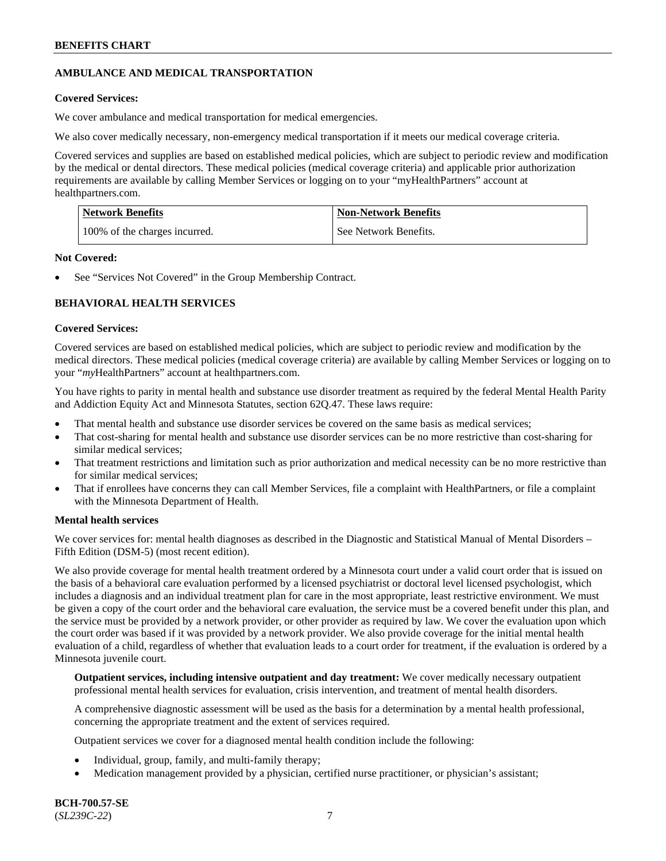## **AMBULANCE AND MEDICAL TRANSPORTATION**

## **Covered Services:**

We cover ambulance and medical transportation for medical emergencies.

We also cover medically necessary, non-emergency medical transportation if it meets our medical coverage criteria.

Covered services and supplies are based on established medical policies, which are subject to periodic review and modification by the medical or dental directors. These medical policies (medical coverage criteria) and applicable prior authorization requirements are available by calling Member Services or logging on to your "myHealthPartners" account at [healthpartners.com.](https://www.healthpartners.com/hp/index.html)

| Network Benefits              | <b>Non-Network Benefits</b> |
|-------------------------------|-----------------------------|
| 100% of the charges incurred. | See Network Benefits.       |

### **Not Covered:**

See "Services Not Covered" in the Group Membership Contract.

## **BEHAVIORAL HEALTH SERVICES**

#### **Covered Services:**

Covered services are based on established medical policies, which are subject to periodic review and modification by the medical directors. These medical policies (medical coverage criteria) are available by calling Member Services or logging on to your "*my*HealthPartners" account at [healthpartners.com.](http://www.healthpartners.com/)

You have rights to parity in mental health and substance use disorder treatment as required by the federal Mental Health Parity and Addiction Equity Act and Minnesota Statutes, section 62Q.47. These laws require:

- That mental health and substance use disorder services be covered on the same basis as medical services;
- That cost-sharing for mental health and substance use disorder services can be no more restrictive than cost-sharing for similar medical services;
- That treatment restrictions and limitation such as prior authorization and medical necessity can be no more restrictive than for similar medical services;
- That if enrollees have concerns they can call Member Services, file a complaint with HealthPartners, or file a complaint with the Minnesota Department of Health.

## **Mental health services**

We cover services for: mental health diagnoses as described in the Diagnostic and Statistical Manual of Mental Disorders – Fifth Edition (DSM-5) (most recent edition).

We also provide coverage for mental health treatment ordered by a Minnesota court under a valid court order that is issued on the basis of a behavioral care evaluation performed by a licensed psychiatrist or doctoral level licensed psychologist, which includes a diagnosis and an individual treatment plan for care in the most appropriate, least restrictive environment. We must be given a copy of the court order and the behavioral care evaluation, the service must be a covered benefit under this plan, and the service must be provided by a network provider, or other provider as required by law. We cover the evaluation upon which the court order was based if it was provided by a network provider. We also provide coverage for the initial mental health evaluation of a child, regardless of whether that evaluation leads to a court order for treatment, if the evaluation is ordered by a Minnesota juvenile court.

**Outpatient services, including intensive outpatient and day treatment:** We cover medically necessary outpatient professional mental health services for evaluation, crisis intervention, and treatment of mental health disorders.

A comprehensive diagnostic assessment will be used as the basis for a determination by a mental health professional, concerning the appropriate treatment and the extent of services required.

Outpatient services we cover for a diagnosed mental health condition include the following:

- Individual, group, family, and multi-family therapy;
- Medication management provided by a physician, certified nurse practitioner, or physician's assistant;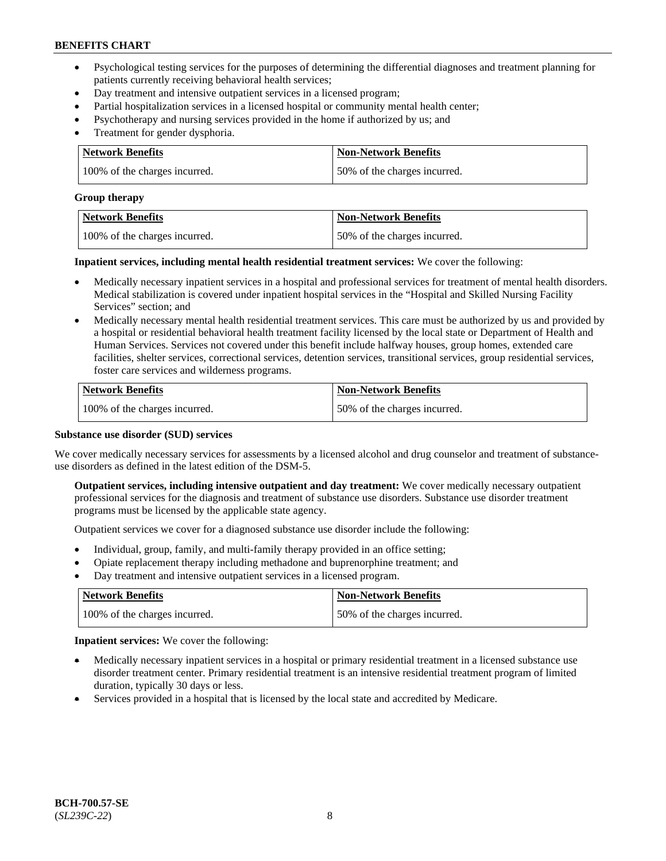- Psychological testing services for the purposes of determining the differential diagnoses and treatment planning for patients currently receiving behavioral health services;
- Day treatment and intensive outpatient services in a licensed program;
- Partial hospitalization services in a licensed hospital or community mental health center;
- Psychotherapy and nursing services provided in the home if authorized by us; and
- Treatment for gender dysphoria.

| Network Benefits              | <b>Non-Network Benefits</b>  |
|-------------------------------|------------------------------|
| 100% of the charges incurred. | 50% of the charges incurred. |

#### **Group therapy**

| Network Benefits              | <b>Non-Network Benefits</b>  |
|-------------------------------|------------------------------|
| 100% of the charges incurred. | 50% of the charges incurred. |

**Inpatient services, including mental health residential treatment services:** We cover the following:

- Medically necessary inpatient services in a hospital and professional services for treatment of mental health disorders. Medical stabilization is covered under inpatient hospital services in the "Hospital and Skilled Nursing Facility Services" section; and
- Medically necessary mental health residential treatment services. This care must be authorized by us and provided by a hospital or residential behavioral health treatment facility licensed by the local state or Department of Health and Human Services. Services not covered under this benefit include halfway houses, group homes, extended care facilities, shelter services, correctional services, detention services, transitional services, group residential services, foster care services and wilderness programs.

| <b>Network Benefits</b>       | <b>Non-Network Benefits</b>  |
|-------------------------------|------------------------------|
| 100% of the charges incurred. | 50% of the charges incurred. |

### **Substance use disorder (SUD) services**

We cover medically necessary services for assessments by a licensed alcohol and drug counselor and treatment of substanceuse disorders as defined in the latest edition of the DSM-5.

**Outpatient services, including intensive outpatient and day treatment:** We cover medically necessary outpatient professional services for the diagnosis and treatment of substance use disorders. Substance use disorder treatment programs must be licensed by the applicable state agency.

Outpatient services we cover for a diagnosed substance use disorder include the following:

- Individual, group, family, and multi-family therapy provided in an office setting;
- Opiate replacement therapy including methadone and buprenorphine treatment; and
- Day treatment and intensive outpatient services in a licensed program.

| Network Benefits              | <b>Non-Network Benefits</b>  |
|-------------------------------|------------------------------|
| 100% of the charges incurred. | 50% of the charges incurred. |

**Inpatient services:** We cover the following:

- Medically necessary inpatient services in a hospital or primary residential treatment in a licensed substance use disorder treatment center. Primary residential treatment is an intensive residential treatment program of limited duration, typically 30 days or less.
- Services provided in a hospital that is licensed by the local state and accredited by Medicare.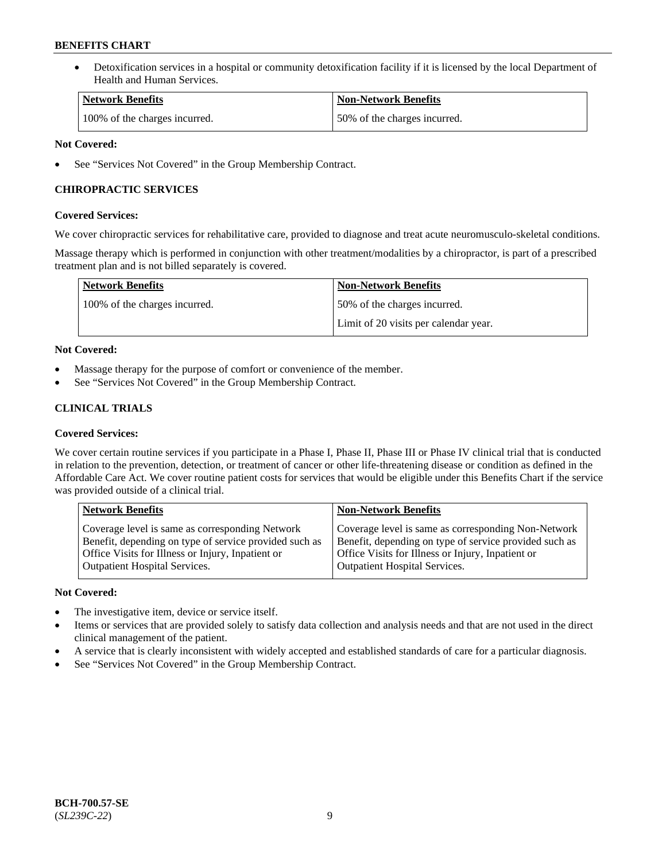• Detoxification services in a hospital or community detoxification facility if it is licensed by the local Department of Health and Human Services.

| <b>Network Benefits</b>       | <b>Non-Network Benefits</b>  |
|-------------------------------|------------------------------|
| 100% of the charges incurred. | 50% of the charges incurred. |

## **Not Covered:**

See "Services Not Covered" in the Group Membership Contract.

## **CHIROPRACTIC SERVICES**

## **Covered Services:**

We cover chiropractic services for rehabilitative care, provided to diagnose and treat acute neuromusculo-skeletal conditions.

Massage therapy which is performed in conjunction with other treatment/modalities by a chiropractor, is part of a prescribed treatment plan and is not billed separately is covered.

| <b>Network Benefits</b>       | <b>Non-Network Benefits</b>           |
|-------------------------------|---------------------------------------|
| 100% of the charges incurred. | 50% of the charges incurred.          |
|                               | Limit of 20 visits per calendar year. |

## **Not Covered:**

- Massage therapy for the purpose of comfort or convenience of the member.
- See "Services Not Covered" in the Group Membership Contract.

## **CLINICAL TRIALS**

## **Covered Services:**

We cover certain routine services if you participate in a Phase I, Phase II, Phase III or Phase IV clinical trial that is conducted in relation to the prevention, detection, or treatment of cancer or other life-threatening disease or condition as defined in the Affordable Care Act. We cover routine patient costs for services that would be eligible under this Benefits Chart if the service was provided outside of a clinical trial.

| <b>Network Benefits</b>                                | <b>Non-Network Benefits</b>                            |
|--------------------------------------------------------|--------------------------------------------------------|
| Coverage level is same as corresponding Network        | Coverage level is same as corresponding Non-Network    |
| Benefit, depending on type of service provided such as | Benefit, depending on type of service provided such as |
| Office Visits for Illness or Injury, Inpatient or      | Office Visits for Illness or Injury, Inpatient or      |
| <b>Outpatient Hospital Services.</b>                   | Outpatient Hospital Services.                          |

## **Not Covered:**

- The investigative item, device or service itself.
- Items or services that are provided solely to satisfy data collection and analysis needs and that are not used in the direct clinical management of the patient.
- A service that is clearly inconsistent with widely accepted and established standards of care for a particular diagnosis.
- See "Services Not Covered" in the Group Membership Contract.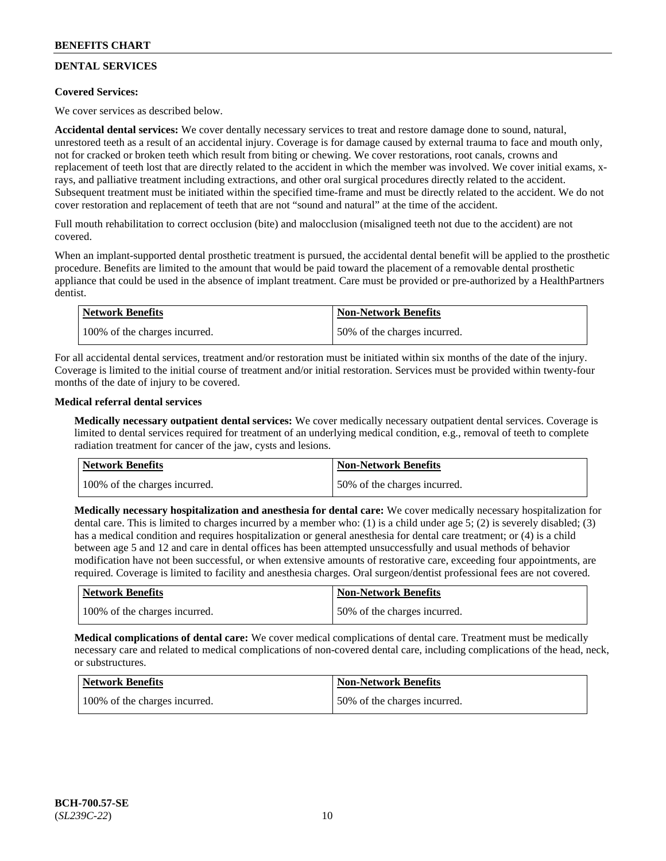## **DENTAL SERVICES**

## **Covered Services:**

We cover services as described below.

**Accidental dental services:** We cover dentally necessary services to treat and restore damage done to sound, natural, unrestored teeth as a result of an accidental injury. Coverage is for damage caused by external trauma to face and mouth only, not for cracked or broken teeth which result from biting or chewing. We cover restorations, root canals, crowns and replacement of teeth lost that are directly related to the accident in which the member was involved. We cover initial exams, xrays, and palliative treatment including extractions, and other oral surgical procedures directly related to the accident. Subsequent treatment must be initiated within the specified time-frame and must be directly related to the accident. We do not cover restoration and replacement of teeth that are not "sound and natural" at the time of the accident.

Full mouth rehabilitation to correct occlusion (bite) and malocclusion (misaligned teeth not due to the accident) are not covered.

When an implant-supported dental prosthetic treatment is pursued, the accidental dental benefit will be applied to the prosthetic procedure. Benefits are limited to the amount that would be paid toward the placement of a removable dental prosthetic appliance that could be used in the absence of implant treatment. Care must be provided or pre-authorized by a HealthPartners dentist.

| Network Benefits              | <b>Non-Network Benefits</b>  |
|-------------------------------|------------------------------|
| 100% of the charges incurred. | 50% of the charges incurred. |

For all accidental dental services, treatment and/or restoration must be initiated within six months of the date of the injury. Coverage is limited to the initial course of treatment and/or initial restoration. Services must be provided within twenty-four months of the date of injury to be covered.

## **Medical referral dental services**

**Medically necessary outpatient dental services:** We cover medically necessary outpatient dental services. Coverage is limited to dental services required for treatment of an underlying medical condition, e.g., removal of teeth to complete radiation treatment for cancer of the jaw, cysts and lesions.

| Network Benefits              | <b>Non-Network Benefits</b>  |
|-------------------------------|------------------------------|
| 100% of the charges incurred. | 50% of the charges incurred. |

**Medically necessary hospitalization and anesthesia for dental care:** We cover medically necessary hospitalization for dental care. This is limited to charges incurred by a member who: (1) is a child under age 5; (2) is severely disabled; (3) has a medical condition and requires hospitalization or general anesthesia for dental care treatment; or (4) is a child between age 5 and 12 and care in dental offices has been attempted unsuccessfully and usual methods of behavior modification have not been successful, or when extensive amounts of restorative care, exceeding four appointments, are required. Coverage is limited to facility and anesthesia charges. Oral surgeon/dentist professional fees are not covered.

| <b>Network Benefits</b>       | <b>Non-Network Benefits</b>  |
|-------------------------------|------------------------------|
| 100% of the charges incurred. | 50% of the charges incurred. |

**Medical complications of dental care:** We cover medical complications of dental care. Treatment must be medically necessary care and related to medical complications of non-covered dental care, including complications of the head, neck, or substructures.

| Network Benefits              | <b>Non-Network Benefits</b>  |
|-------------------------------|------------------------------|
| 100% of the charges incurred. | 50% of the charges incurred. |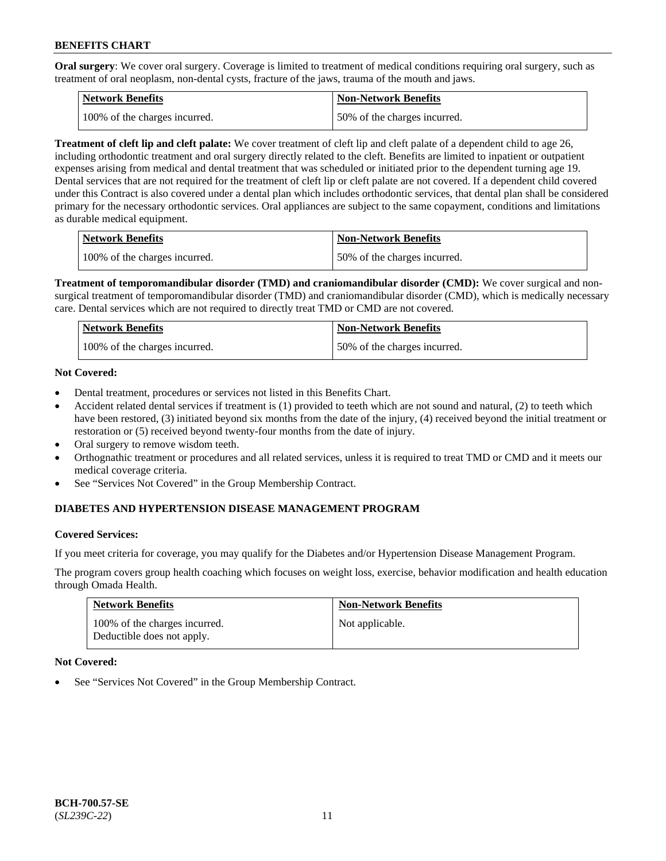**Oral surgery**: We cover oral surgery. Coverage is limited to treatment of medical conditions requiring oral surgery, such as treatment of oral neoplasm, non-dental cysts, fracture of the jaws, trauma of the mouth and jaws.

| Network Benefits              | <b>Non-Network Benefits</b>  |
|-------------------------------|------------------------------|
| 100% of the charges incurred. | 50% of the charges incurred. |

**Treatment of cleft lip and cleft palate:** We cover treatment of cleft lip and cleft palate of a dependent child to age 26, including orthodontic treatment and oral surgery directly related to the cleft. Benefits are limited to inpatient or outpatient expenses arising from medical and dental treatment that was scheduled or initiated prior to the dependent turning age 19. Dental services that are not required for the treatment of cleft lip or cleft palate are not covered. If a dependent child covered under this Contract is also covered under a dental plan which includes orthodontic services, that dental plan shall be considered primary for the necessary orthodontic services. Oral appliances are subject to the same copayment, conditions and limitations as durable medical equipment.

| <b>Network Benefits</b>       | <b>Non-Network Benefits</b>  |
|-------------------------------|------------------------------|
| 100% of the charges incurred. | 50% of the charges incurred. |

**Treatment of temporomandibular disorder (TMD) and craniomandibular disorder (CMD):** We cover surgical and nonsurgical treatment of temporomandibular disorder (TMD) and craniomandibular disorder (CMD), which is medically necessary care. Dental services which are not required to directly treat TMD or CMD are not covered.

| Network Benefits              | <b>Non-Network Benefits</b>  |
|-------------------------------|------------------------------|
| 100% of the charges incurred. | 50% of the charges incurred. |

## **Not Covered:**

- Dental treatment, procedures or services not listed in this Benefits Chart.
- Accident related dental services if treatment is (1) provided to teeth which are not sound and natural, (2) to teeth which have been restored, (3) initiated beyond six months from the date of the injury, (4) received beyond the initial treatment or restoration or (5) received beyond twenty-four months from the date of injury.
- Oral surgery to remove wisdom teeth.
- Orthognathic treatment or procedures and all related services, unless it is required to treat TMD or CMD and it meets our medical coverage criteria.
- See "Services Not Covered" in the Group Membership Contract.

## **DIABETES AND HYPERTENSION DISEASE MANAGEMENT PROGRAM**

## **Covered Services:**

If you meet criteria for coverage, you may qualify for the Diabetes and/or Hypertension Disease Management Program.

The program covers group health coaching which focuses on weight loss, exercise, behavior modification and health education through Omada Health.

| <b>Network Benefits</b>                                     | <b>Non-Network Benefits</b> |
|-------------------------------------------------------------|-----------------------------|
| 100% of the charges incurred.<br>Deductible does not apply. | Not applicable.             |

## **Not Covered:**

See "Services Not Covered" in the Group Membership Contract.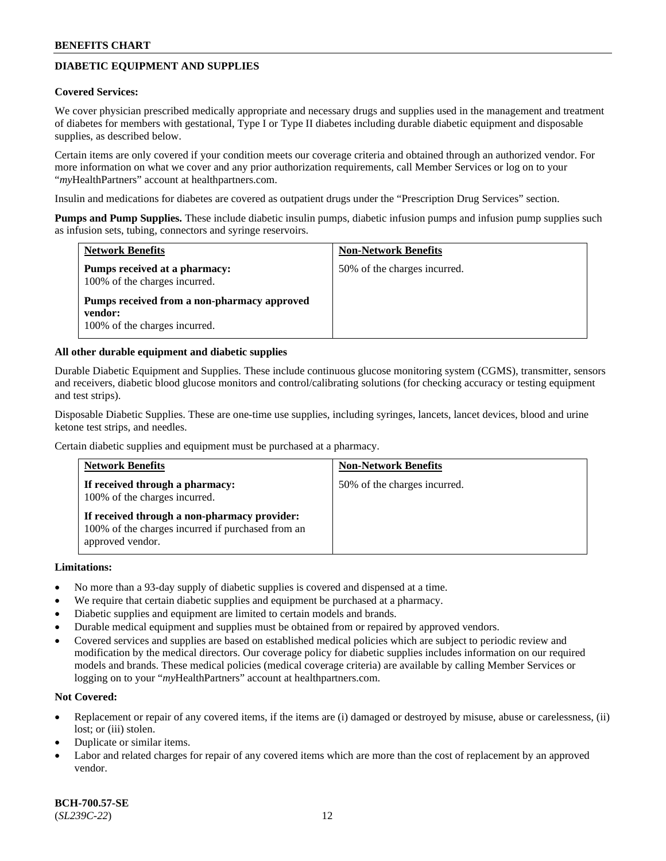## **DIABETIC EQUIPMENT AND SUPPLIES**

#### **Covered Services:**

We cover physician prescribed medically appropriate and necessary drugs and supplies used in the management and treatment of diabetes for members with gestational, Type I or Type II diabetes including durable diabetic equipment and disposable supplies, as described below.

Certain items are only covered if your condition meets our coverage criteria and obtained through an authorized vendor. For more information on what we cover and any prior authorization requirements, call Member Services or log on to your "*my*HealthPartners" account at [healthpartners.com.](http://www.healthpartners.com/)

Insulin and medications for diabetes are covered as outpatient drugs under the "Prescription Drug Services" section.

**Pumps and Pump Supplies.** These include diabetic insulin pumps, diabetic infusion pumps and infusion pump supplies such as infusion sets, tubing, connectors and syringe reservoirs.

| <b>Network Benefits</b>                                                                 | <b>Non-Network Benefits</b>  |
|-----------------------------------------------------------------------------------------|------------------------------|
| Pumps received at a pharmacy:<br>100% of the charges incurred.                          | 50% of the charges incurred. |
| Pumps received from a non-pharmacy approved<br>vendor:<br>100% of the charges incurred. |                              |

#### **All other durable equipment and diabetic supplies**

Durable Diabetic Equipment and Supplies. These include continuous glucose monitoring system (CGMS), transmitter, sensors and receivers, diabetic blood glucose monitors and control/calibrating solutions (for checking accuracy or testing equipment and test strips).

Disposable Diabetic Supplies. These are one-time use supplies, including syringes, lancets, lancet devices, blood and urine ketone test strips, and needles.

Certain diabetic supplies and equipment must be purchased at a pharmacy.

| <b>Network Benefits</b>                                                                                               | <b>Non-Network Benefits</b>  |
|-----------------------------------------------------------------------------------------------------------------------|------------------------------|
| If received through a pharmacy:<br>100% of the charges incurred.                                                      | 50% of the charges incurred. |
| If received through a non-pharmacy provider:<br>100% of the charges incurred if purchased from an<br>approved vendor. |                              |

#### **Limitations:**

- No more than a 93-day supply of diabetic supplies is covered and dispensed at a time.
- We require that certain diabetic supplies and equipment be purchased at a pharmacy.
- Diabetic supplies and equipment are limited to certain models and brands.
- Durable medical equipment and supplies must be obtained from or repaired by approved vendors.
- Covered services and supplies are based on established medical policies which are subject to periodic review and modification by the medical directors. Our coverage policy for diabetic supplies includes information on our required models and brands. These medical policies (medical coverage criteria) are available by calling Member Services or logging on to your "*my*HealthPartners" account at [healthpartners.com.](http://www.healthpartners.com/)

## **Not Covered:**

- Replacement or repair of any covered items, if the items are (i) damaged or destroyed by misuse, abuse or carelessness, (ii) lost; or (iii) stolen.
- Duplicate or similar items.
- Labor and related charges for repair of any covered items which are more than the cost of replacement by an approved vendor.

**BCH-700.57-SE** (*SL239C-22*) 12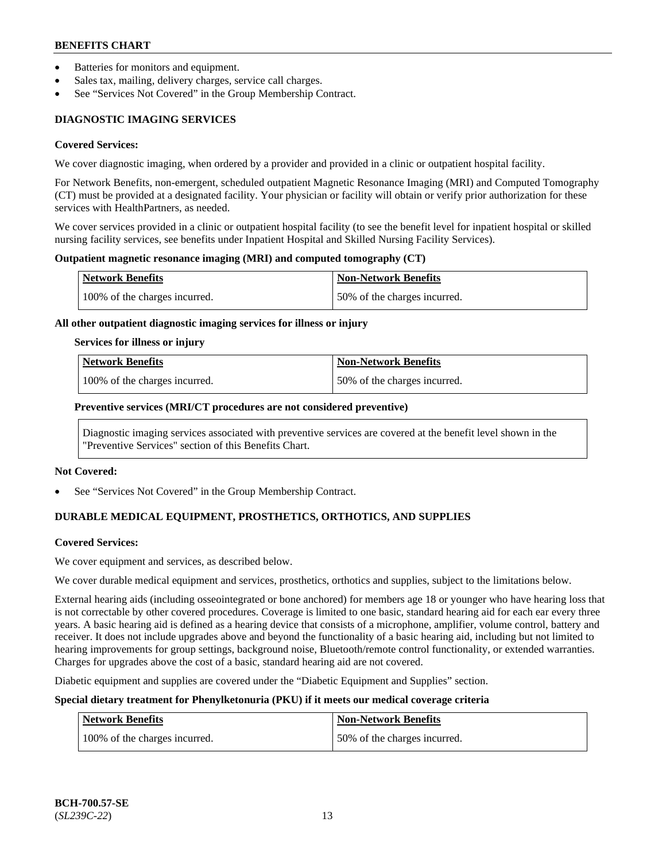- Batteries for monitors and equipment.
- Sales tax, mailing, delivery charges, service call charges.
- See "Services Not Covered" in the Group Membership Contract.

## **DIAGNOSTIC IMAGING SERVICES**

#### **Covered Services:**

We cover diagnostic imaging, when ordered by a provider and provided in a clinic or outpatient hospital facility.

For Network Benefits, non-emergent, scheduled outpatient Magnetic Resonance Imaging (MRI) and Computed Tomography (CT) must be provided at a designated facility. Your physician or facility will obtain or verify prior authorization for these services with HealthPartners, as needed.

We cover services provided in a clinic or outpatient hospital facility (to see the benefit level for inpatient hospital or skilled nursing facility services, see benefits under Inpatient Hospital and Skilled Nursing Facility Services).

#### **Outpatient magnetic resonance imaging (MRI) and computed tomography (CT)**

| Network Benefits              | <b>Non-Network Benefits</b>  |
|-------------------------------|------------------------------|
| 100% of the charges incurred. | 50% of the charges incurred. |

#### **All other outpatient diagnostic imaging services for illness or injury**

#### **Services for illness or injury**

| Network Benefits              | <b>Non-Network Benefits</b>  |
|-------------------------------|------------------------------|
| 100% of the charges incurred. | 50% of the charges incurred. |

#### **Preventive services (MRI/CT procedures are not considered preventive)**

Diagnostic imaging services associated with preventive services are covered at the benefit level shown in the "Preventive Services" section of this Benefits Chart.

#### **Not Covered:**

See "Services Not Covered" in the Group Membership Contract.

## **DURABLE MEDICAL EQUIPMENT, PROSTHETICS, ORTHOTICS, AND SUPPLIES**

#### **Covered Services:**

We cover equipment and services, as described below.

We cover durable medical equipment and services, prosthetics, orthotics and supplies, subject to the limitations below.

External hearing aids (including osseointegrated or bone anchored) for members age 18 or younger who have hearing loss that is not correctable by other covered procedures. Coverage is limited to one basic, standard hearing aid for each ear every three years. A basic hearing aid is defined as a hearing device that consists of a microphone, amplifier, volume control, battery and receiver. It does not include upgrades above and beyond the functionality of a basic hearing aid, including but not limited to hearing improvements for group settings, background noise, Bluetooth/remote control functionality, or extended warranties. Charges for upgrades above the cost of a basic, standard hearing aid are not covered.

Diabetic equipment and supplies are covered under the "Diabetic Equipment and Supplies" section.

## **Special dietary treatment for Phenylketonuria (PKU) if it meets our medical coverage criteria**

| <b>Network Benefits</b>       | Non-Network Benefits         |
|-------------------------------|------------------------------|
| 100% of the charges incurred. | 50% of the charges incurred. |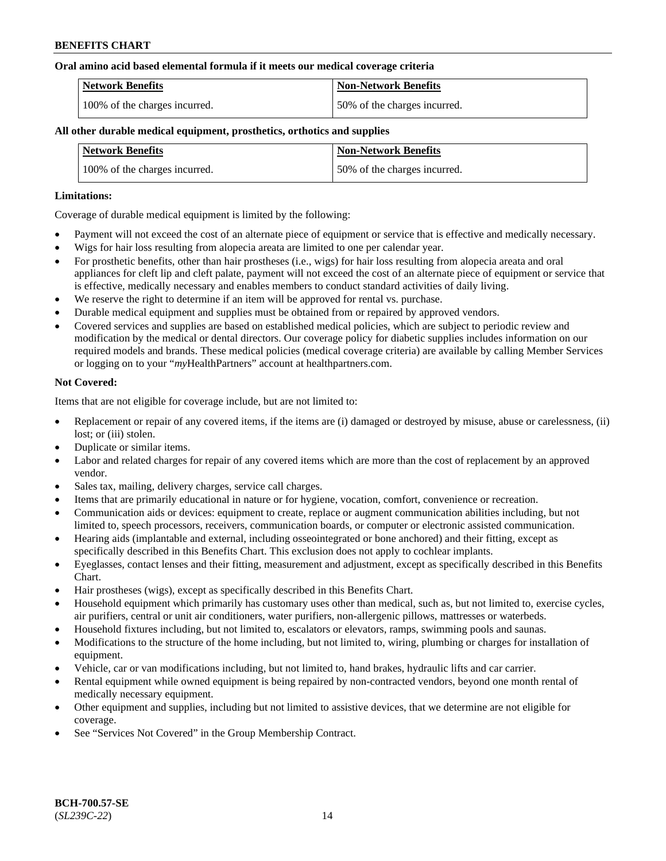#### **Oral amino acid based elemental formula if it meets our medical coverage criteria**

| Network Benefits              | <b>Non-Network Benefits</b>  |
|-------------------------------|------------------------------|
| 100% of the charges incurred. | 50% of the charges incurred. |

### **All other durable medical equipment, prosthetics, orthotics and supplies**

| <b>Network Benefits</b>       | <b>Non-Network Benefits</b>  |
|-------------------------------|------------------------------|
| 100% of the charges incurred. | 50% of the charges incurred. |

#### **Limitations:**

Coverage of durable medical equipment is limited by the following:

- Payment will not exceed the cost of an alternate piece of equipment or service that is effective and medically necessary.
- Wigs for hair loss resulting from alopecia areata are limited to one per calendar year.
- For prosthetic benefits, other than hair prostheses (i.e., wigs) for hair loss resulting from alopecia areata and oral appliances for cleft lip and cleft palate, payment will not exceed the cost of an alternate piece of equipment or service that is effective, medically necessary and enables members to conduct standard activities of daily living.
- We reserve the right to determine if an item will be approved for rental vs. purchase.
- Durable medical equipment and supplies must be obtained from or repaired by approved vendors.
- Covered services and supplies are based on established medical policies, which are subject to periodic review and modification by the medical or dental directors. Our coverage policy for diabetic supplies includes information on our required models and brands. These medical policies (medical coverage criteria) are available by calling Member Services or logging on to your "*my*HealthPartners" account a[t healthpartners.com.](https://www.healthpartners.com/hp/index.html)

#### **Not Covered:**

Items that are not eligible for coverage include, but are not limited to:

- Replacement or repair of any covered items, if the items are (i) damaged or destroyed by misuse, abuse or carelessness, (ii) lost; or (iii) stolen.
- Duplicate or similar items.
- Labor and related charges for repair of any covered items which are more than the cost of replacement by an approved vendor.
- Sales tax, mailing, delivery charges, service call charges.
- Items that are primarily educational in nature or for hygiene, vocation, comfort, convenience or recreation.
- Communication aids or devices: equipment to create, replace or augment communication abilities including, but not limited to, speech processors, receivers, communication boards, or computer or electronic assisted communication.
- Hearing aids (implantable and external, including osseointegrated or bone anchored) and their fitting, except as specifically described in this Benefits Chart. This exclusion does not apply to cochlear implants.
- Eyeglasses, contact lenses and their fitting, measurement and adjustment, except as specifically described in this Benefits Chart.
- Hair prostheses (wigs), except as specifically described in this Benefits Chart.
- Household equipment which primarily has customary uses other than medical, such as, but not limited to, exercise cycles, air purifiers, central or unit air conditioners, water purifiers, non-allergenic pillows, mattresses or waterbeds.
- Household fixtures including, but not limited to, escalators or elevators, ramps, swimming pools and saunas.
- Modifications to the structure of the home including, but not limited to, wiring, plumbing or charges for installation of equipment.
- Vehicle, car or van modifications including, but not limited to, hand brakes, hydraulic lifts and car carrier.
- Rental equipment while owned equipment is being repaired by non-contracted vendors, beyond one month rental of medically necessary equipment.
- Other equipment and supplies, including but not limited to assistive devices, that we determine are not eligible for coverage.
- See "Services Not Covered" in the Group Membership Contract.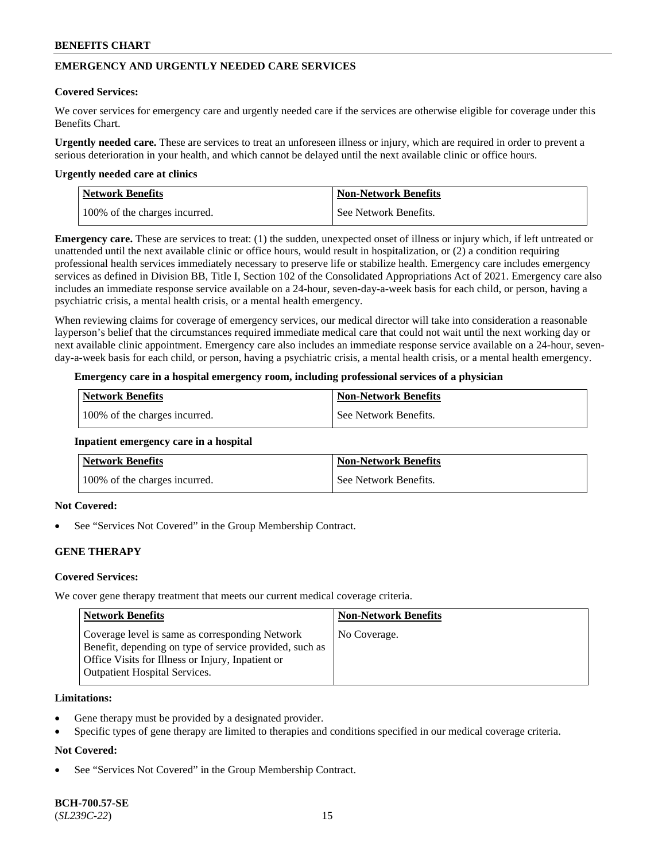## **EMERGENCY AND URGENTLY NEEDED CARE SERVICES**

#### **Covered Services:**

We cover services for emergency care and urgently needed care if the services are otherwise eligible for coverage under this Benefits Chart.

**Urgently needed care.** These are services to treat an unforeseen illness or injury, which are required in order to prevent a serious deterioration in your health, and which cannot be delayed until the next available clinic or office hours.

#### **Urgently needed care at clinics**

| Network Benefits              | <b>Non-Network Benefits</b> |
|-------------------------------|-----------------------------|
| 100% of the charges incurred. | See Network Benefits.       |

**Emergency care.** These are services to treat: (1) the sudden, unexpected onset of illness or injury which, if left untreated or unattended until the next available clinic or office hours, would result in hospitalization, or (2) a condition requiring professional health services immediately necessary to preserve life or stabilize health. Emergency care includes emergency services as defined in Division BB, Title I, Section 102 of the Consolidated Appropriations Act of 2021. Emergency care also includes an immediate response service available on a 24-hour, seven-day-a-week basis for each child, or person, having a psychiatric crisis, a mental health crisis, or a mental health emergency.

When reviewing claims for coverage of emergency services, our medical director will take into consideration a reasonable layperson's belief that the circumstances required immediate medical care that could not wait until the next working day or next available clinic appointment. Emergency care also includes an immediate response service available on a 24-hour, sevenday-a-week basis for each child, or person, having a psychiatric crisis, a mental health crisis, or a mental health emergency.

### **Emergency care in a hospital emergency room, including professional services of a physician**

| <b>Network Benefits</b>       | <b>Non-Network Benefits</b> |
|-------------------------------|-----------------------------|
| 100% of the charges incurred. | See Network Benefits.       |

#### **Inpatient emergency care in a hospital**

| <b>Network Benefits</b>       | <b>Non-Network Benefits</b> |
|-------------------------------|-----------------------------|
| 100% of the charges incurred. | See Network Benefits.       |

## **Not Covered:**

See "Services Not Covered" in the Group Membership Contract.

## **GENE THERAPY**

## **Covered Services:**

We cover gene therapy treatment that meets our current medical coverage criteria.

| <b>Network Benefits</b>                                                                                                                                                                                 | <b>Non-Network Benefits</b> |
|---------------------------------------------------------------------------------------------------------------------------------------------------------------------------------------------------------|-----------------------------|
| Coverage level is same as corresponding Network<br>Benefit, depending on type of service provided, such as<br>Office Visits for Illness or Injury, Inpatient or<br><b>Outpatient Hospital Services.</b> | No Coverage.                |

#### **Limitations:**

- Gene therapy must be provided by a designated provider.
- Specific types of gene therapy are limited to therapies and conditions specified in our medical coverage criteria.

## **Not Covered:**

See "Services Not Covered" in the Group Membership Contract.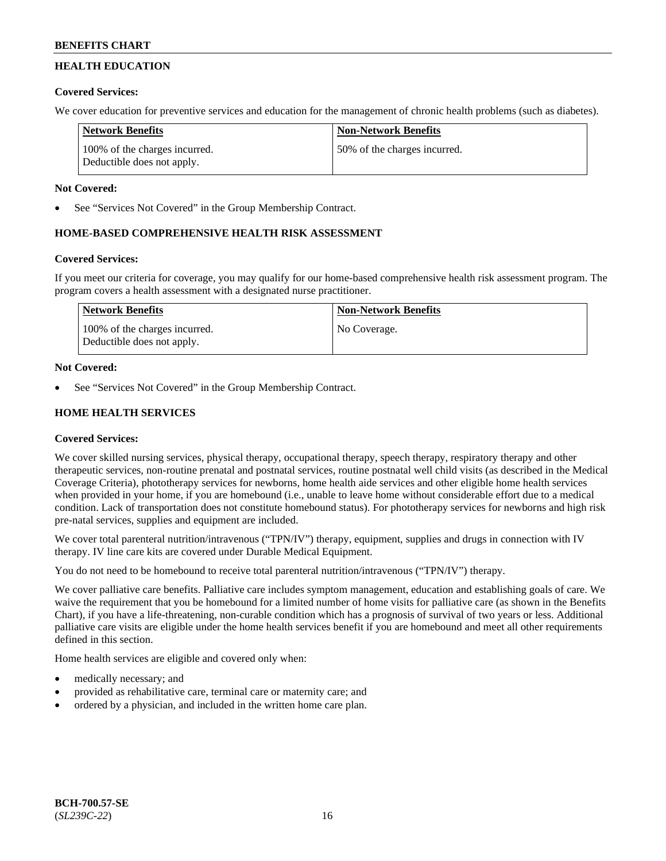## **HEALTH EDUCATION**

## **Covered Services:**

We cover education for preventive services and education for the management of chronic health problems (such as diabetes).

| <b>Network Benefits</b>                                     | <b>Non-Network Benefits</b>  |
|-------------------------------------------------------------|------------------------------|
| 100% of the charges incurred.<br>Deductible does not apply. | 50% of the charges incurred. |

## **Not Covered:**

See "Services Not Covered" in the Group Membership Contract.

## **HOME-BASED COMPREHENSIVE HEALTH RISK ASSESSMENT**

## **Covered Services:**

If you meet our criteria for coverage, you may qualify for our home-based comprehensive health risk assessment program. The program covers a health assessment with a designated nurse practitioner.

| Network Benefits                                            | <b>Non-Network Benefits</b> |
|-------------------------------------------------------------|-----------------------------|
| 100% of the charges incurred.<br>Deductible does not apply. | No Coverage.                |

## **Not Covered:**

See "Services Not Covered" in the Group Membership Contract.

## **HOME HEALTH SERVICES**

## **Covered Services:**

We cover skilled nursing services, physical therapy, occupational therapy, speech therapy, respiratory therapy and other therapeutic services, non-routine prenatal and postnatal services, routine postnatal well child visits (as described in the Medical Coverage Criteria), phototherapy services for newborns, home health aide services and other eligible home health services when provided in your home, if you are homebound (i.e., unable to leave home without considerable effort due to a medical condition. Lack of transportation does not constitute homebound status). For phototherapy services for newborns and high risk pre-natal services, supplies and equipment are included.

We cover total parenteral nutrition/intravenous ("TPN/IV") therapy, equipment, supplies and drugs in connection with IV therapy. IV line care kits are covered under Durable Medical Equipment.

You do not need to be homebound to receive total parenteral nutrition/intravenous ("TPN/IV") therapy.

We cover palliative care benefits. Palliative care includes symptom management, education and establishing goals of care. We waive the requirement that you be homebound for a limited number of home visits for palliative care (as shown in the Benefits Chart), if you have a life-threatening, non-curable condition which has a prognosis of survival of two years or less. Additional palliative care visits are eligible under the home health services benefit if you are homebound and meet all other requirements defined in this section.

Home health services are eligible and covered only when:

- medically necessary; and
- provided as rehabilitative care, terminal care or maternity care; and
- ordered by a physician, and included in the written home care plan.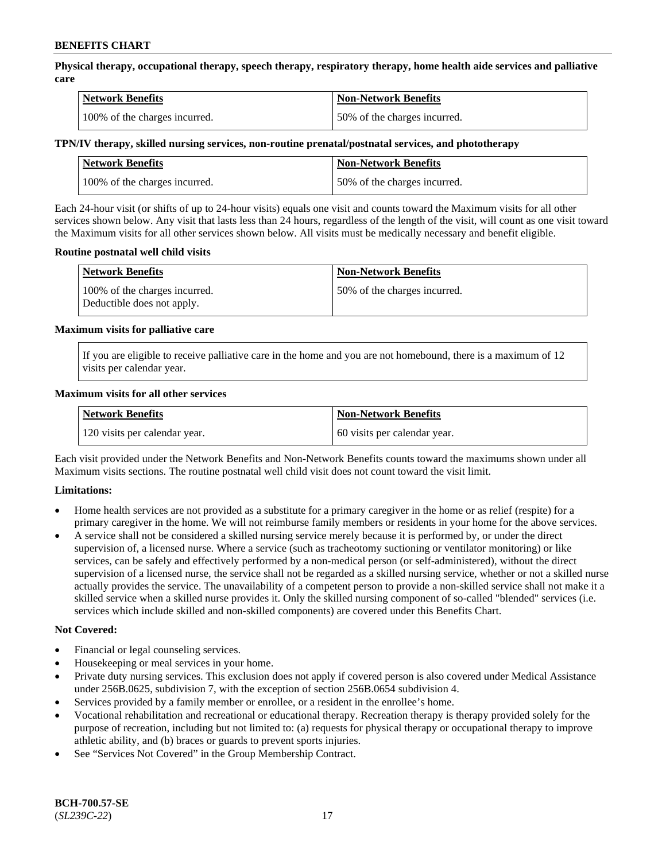**Physical therapy, occupational therapy, speech therapy, respiratory therapy, home health aide services and palliative care**

| <b>Network Benefits</b>       | <b>Non-Network Benefits</b>  |
|-------------------------------|------------------------------|
| 100% of the charges incurred. | 50% of the charges incurred. |

#### **TPN/IV therapy, skilled nursing services, non-routine prenatal/postnatal services, and phototherapy**

| Network Benefits              | <b>Non-Network Benefits</b>  |
|-------------------------------|------------------------------|
| 100% of the charges incurred. | 50% of the charges incurred. |

Each 24-hour visit (or shifts of up to 24-hour visits) equals one visit and counts toward the Maximum visits for all other services shown below. Any visit that lasts less than 24 hours, regardless of the length of the visit, will count as one visit toward the Maximum visits for all other services shown below. All visits must be medically necessary and benefit eligible.

#### **Routine postnatal well child visits**

| <b>Network Benefits</b>                                     | <b>Non-Network Benefits</b>  |
|-------------------------------------------------------------|------------------------------|
| 100% of the charges incurred.<br>Deductible does not apply. | 50% of the charges incurred. |

#### **Maximum visits for palliative care**

If you are eligible to receive palliative care in the home and you are not homebound, there is a maximum of 12 visits per calendar year.

#### **Maximum visits for all other services**

| <b>Network Benefits</b>       | <b>Non-Network Benefits</b>  |
|-------------------------------|------------------------------|
| 120 visits per calendar year. | 60 visits per calendar year. |

Each visit provided under the Network Benefits and Non-Network Benefits counts toward the maximums shown under all Maximum visits sections. The routine postnatal well child visit does not count toward the visit limit.

## **Limitations:**

- Home health services are not provided as a substitute for a primary caregiver in the home or as relief (respite) for a primary caregiver in the home. We will not reimburse family members or residents in your home for the above services.
- A service shall not be considered a skilled nursing service merely because it is performed by, or under the direct supervision of, a licensed nurse. Where a service (such as tracheotomy suctioning or ventilator monitoring) or like services, can be safely and effectively performed by a non-medical person (or self-administered), without the direct supervision of a licensed nurse, the service shall not be regarded as a skilled nursing service, whether or not a skilled nurse actually provides the service. The unavailability of a competent person to provide a non-skilled service shall not make it a skilled service when a skilled nurse provides it. Only the skilled nursing component of so-called "blended" services (i.e. services which include skilled and non-skilled components) are covered under this Benefits Chart.

#### **Not Covered:**

- Financial or legal counseling services.
- Housekeeping or meal services in your home.
- Private duty nursing services. This exclusion does not apply if covered person is also covered under Medical Assistance under 256B.0625, subdivision 7, with the exception of section 256B.0654 subdivision 4.
- Services provided by a family member or enrollee, or a resident in the enrollee's home.
- Vocational rehabilitation and recreational or educational therapy. Recreation therapy is therapy provided solely for the purpose of recreation, including but not limited to: (a) requests for physical therapy or occupational therapy to improve athletic ability, and (b) braces or guards to prevent sports injuries.
- See "Services Not Covered" in the Group Membership Contract.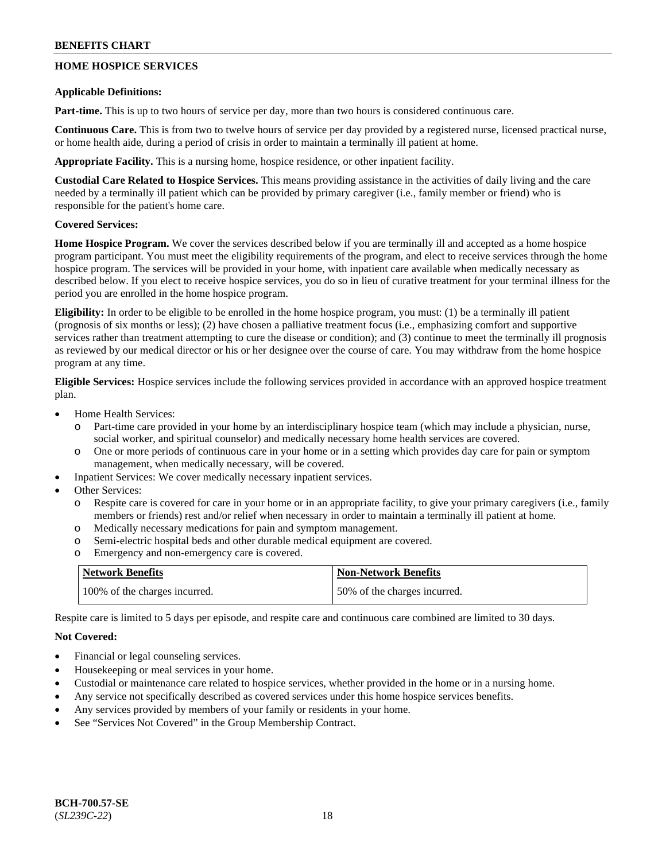## **HOME HOSPICE SERVICES**

#### **Applicable Definitions:**

**Part-time.** This is up to two hours of service per day, more than two hours is considered continuous care.

**Continuous Care.** This is from two to twelve hours of service per day provided by a registered nurse, licensed practical nurse, or home health aide, during a period of crisis in order to maintain a terminally ill patient at home.

**Appropriate Facility.** This is a nursing home, hospice residence, or other inpatient facility.

**Custodial Care Related to Hospice Services.** This means providing assistance in the activities of daily living and the care needed by a terminally ill patient which can be provided by primary caregiver (i.e., family member or friend) who is responsible for the patient's home care.

## **Covered Services:**

**Home Hospice Program.** We cover the services described below if you are terminally ill and accepted as a home hospice program participant. You must meet the eligibility requirements of the program, and elect to receive services through the home hospice program. The services will be provided in your home, with inpatient care available when medically necessary as described below. If you elect to receive hospice services, you do so in lieu of curative treatment for your terminal illness for the period you are enrolled in the home hospice program.

**Eligibility:** In order to be eligible to be enrolled in the home hospice program, you must: (1) be a terminally ill patient (prognosis of six months or less); (2) have chosen a palliative treatment focus (i.e., emphasizing comfort and supportive services rather than treatment attempting to cure the disease or condition); and (3) continue to meet the terminally ill prognosis as reviewed by our medical director or his or her designee over the course of care. You may withdraw from the home hospice program at any time.

**Eligible Services:** Hospice services include the following services provided in accordance with an approved hospice treatment plan.

- Home Health Services:
	- o Part-time care provided in your home by an interdisciplinary hospice team (which may include a physician, nurse, social worker, and spiritual counselor) and medically necessary home health services are covered.
	- o One or more periods of continuous care in your home or in a setting which provides day care for pain or symptom management, when medically necessary, will be covered.
- Inpatient Services: We cover medically necessary inpatient services.
- Other Services:
	- o Respite care is covered for care in your home or in an appropriate facility, to give your primary caregivers (i.e., family members or friends) rest and/or relief when necessary in order to maintain a terminally ill patient at home.
	- o Medically necessary medications for pain and symptom management.
	- o Semi-electric hospital beds and other durable medical equipment are covered.
	- o Emergency and non-emergency care is covered.

| <b>Network Benefits</b>       | <b>Non-Network Benefits</b>  |
|-------------------------------|------------------------------|
| 100% of the charges incurred. | 50% of the charges incurred. |

Respite care is limited to 5 days per episode, and respite care and continuous care combined are limited to 30 days.

## **Not Covered:**

- Financial or legal counseling services.
- Housekeeping or meal services in your home.
- Custodial or maintenance care related to hospice services, whether provided in the home or in a nursing home.
- Any service not specifically described as covered services under this home hospice services benefits.
- Any services provided by members of your family or residents in your home.
- See "Services Not Covered" in the Group Membership Contract.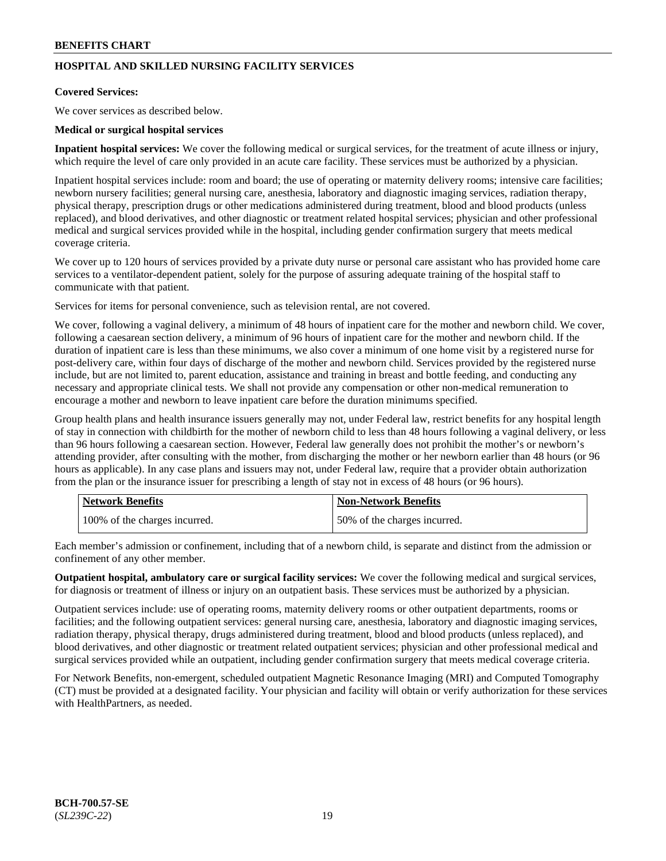## **HOSPITAL AND SKILLED NURSING FACILITY SERVICES**

## **Covered Services:**

We cover services as described below.

## **Medical or surgical hospital services**

**Inpatient hospital services:** We cover the following medical or surgical services, for the treatment of acute illness or injury, which require the level of care only provided in an acute care facility. These services must be authorized by a physician.

Inpatient hospital services include: room and board; the use of operating or maternity delivery rooms; intensive care facilities; newborn nursery facilities; general nursing care, anesthesia, laboratory and diagnostic imaging services, radiation therapy, physical therapy, prescription drugs or other medications administered during treatment, blood and blood products (unless replaced), and blood derivatives, and other diagnostic or treatment related hospital services; physician and other professional medical and surgical services provided while in the hospital, including gender confirmation surgery that meets medical coverage criteria.

We cover up to 120 hours of services provided by a private duty nurse or personal care assistant who has provided home care services to a ventilator-dependent patient, solely for the purpose of assuring adequate training of the hospital staff to communicate with that patient.

Services for items for personal convenience, such as television rental, are not covered.

We cover, following a vaginal delivery, a minimum of 48 hours of inpatient care for the mother and newborn child. We cover, following a caesarean section delivery, a minimum of 96 hours of inpatient care for the mother and newborn child. If the duration of inpatient care is less than these minimums, we also cover a minimum of one home visit by a registered nurse for post-delivery care, within four days of discharge of the mother and newborn child. Services provided by the registered nurse include, but are not limited to, parent education, assistance and training in breast and bottle feeding, and conducting any necessary and appropriate clinical tests. We shall not provide any compensation or other non-medical remuneration to encourage a mother and newborn to leave inpatient care before the duration minimums specified.

Group health plans and health insurance issuers generally may not, under Federal law, restrict benefits for any hospital length of stay in connection with childbirth for the mother of newborn child to less than 48 hours following a vaginal delivery, or less than 96 hours following a caesarean section. However, Federal law generally does not prohibit the mother's or newborn's attending provider, after consulting with the mother, from discharging the mother or her newborn earlier than 48 hours (or 96 hours as applicable). In any case plans and issuers may not, under Federal law, require that a provider obtain authorization from the plan or the insurance issuer for prescribing a length of stay not in excess of 48 hours (or 96 hours).

| <b>Network Benefits</b>       | <b>Non-Network Benefits</b>  |
|-------------------------------|------------------------------|
| 100% of the charges incurred. | 50% of the charges incurred. |

Each member's admission or confinement, including that of a newborn child, is separate and distinct from the admission or confinement of any other member.

**Outpatient hospital, ambulatory care or surgical facility services:** We cover the following medical and surgical services, for diagnosis or treatment of illness or injury on an outpatient basis. These services must be authorized by a physician.

Outpatient services include: use of operating rooms, maternity delivery rooms or other outpatient departments, rooms or facilities; and the following outpatient services: general nursing care, anesthesia, laboratory and diagnostic imaging services, radiation therapy, physical therapy, drugs administered during treatment, blood and blood products (unless replaced), and blood derivatives, and other diagnostic or treatment related outpatient services; physician and other professional medical and surgical services provided while an outpatient, including gender confirmation surgery that meets medical coverage criteria.

For Network Benefits, non-emergent, scheduled outpatient Magnetic Resonance Imaging (MRI) and Computed Tomography (CT) must be provided at a designated facility. Your physician and facility will obtain or verify authorization for these services with HealthPartners, as needed.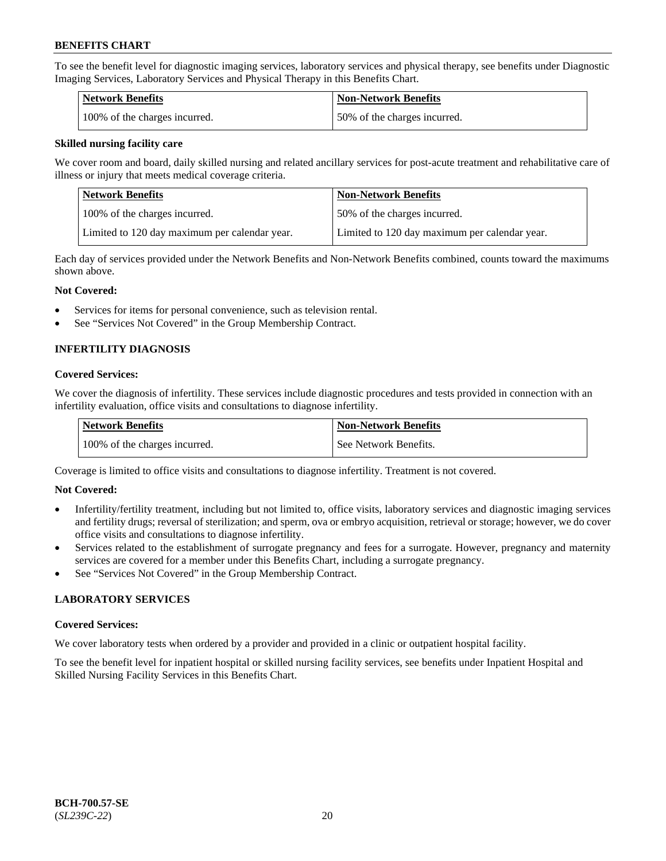To see the benefit level for diagnostic imaging services, laboratory services and physical therapy, see benefits under Diagnostic Imaging Services, Laboratory Services and Physical Therapy in this Benefits Chart.

| <b>Network Benefits</b>       | Non-Network Benefits         |
|-------------------------------|------------------------------|
| 100% of the charges incurred. | 50% of the charges incurred. |

### **Skilled nursing facility care**

We cover room and board, daily skilled nursing and related ancillary services for post-acute treatment and rehabilitative care of illness or injury that meets medical coverage criteria.

| Network Benefits                              | <b>Non-Network Benefits</b>                   |
|-----------------------------------------------|-----------------------------------------------|
| 100% of the charges incurred.                 | 150% of the charges incurred.                 |
| Limited to 120 day maximum per calendar year. | Limited to 120 day maximum per calendar year. |

Each day of services provided under the Network Benefits and Non-Network Benefits combined, counts toward the maximums shown above.

#### **Not Covered:**

- Services for items for personal convenience, such as television rental.
- See "Services Not Covered" in the Group Membership Contract.

## **INFERTILITY DIAGNOSIS**

#### **Covered Services:**

We cover the diagnosis of infertility. These services include diagnostic procedures and tests provided in connection with an infertility evaluation, office visits and consultations to diagnose infertility.

| <b>Network Benefits</b>       | <b>Non-Network Benefits</b> |
|-------------------------------|-----------------------------|
| 100% of the charges incurred. | See Network Benefits.       |

Coverage is limited to office visits and consultations to diagnose infertility. Treatment is not covered.

## **Not Covered:**

- Infertility/fertility treatment, including but not limited to, office visits, laboratory services and diagnostic imaging services and fertility drugs; reversal of sterilization; and sperm, ova or embryo acquisition, retrieval or storage; however, we do cover office visits and consultations to diagnose infertility.
- Services related to the establishment of surrogate pregnancy and fees for a surrogate. However, pregnancy and maternity services are covered for a member under this Benefits Chart, including a surrogate pregnancy.
- See "Services Not Covered" in the Group Membership Contract.

## **LABORATORY SERVICES**

#### **Covered Services:**

We cover laboratory tests when ordered by a provider and provided in a clinic or outpatient hospital facility.

To see the benefit level for inpatient hospital or skilled nursing facility services, see benefits under Inpatient Hospital and Skilled Nursing Facility Services in this Benefits Chart.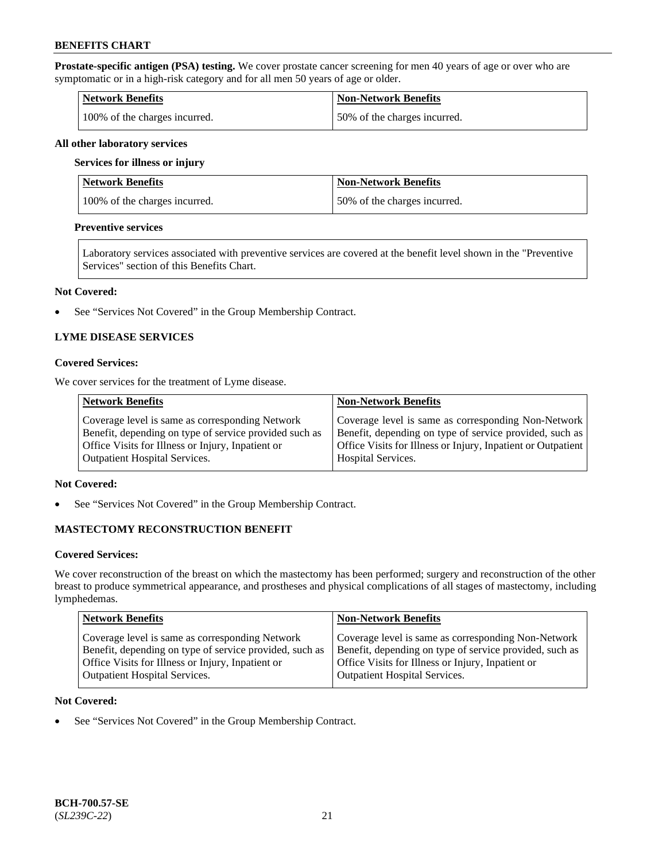**Prostate-specific antigen (PSA) testing.** We cover prostate cancer screening for men 40 years of age or over who are symptomatic or in a high-risk category and for all men 50 years of age or older.

| <b>Network Benefits</b>       | <b>Non-Network Benefits</b>  |
|-------------------------------|------------------------------|
| 100% of the charges incurred. | 50% of the charges incurred. |

#### **All other laboratory services**

#### **Services for illness or injury**

| Network Benefits              | <b>Non-Network Benefits</b>  |
|-------------------------------|------------------------------|
| 100% of the charges incurred. | 50% of the charges incurred. |

#### **Preventive services**

Laboratory services associated with preventive services are covered at the benefit level shown in the "Preventive Services" section of this Benefits Chart.

#### **Not Covered:**

• See "Services Not Covered" in the Group Membership Contract.

## **LYME DISEASE SERVICES**

#### **Covered Services:**

We cover services for the treatment of Lyme disease.

| <b>Network Benefits</b>                                | <b>Non-Network Benefits</b>                                  |
|--------------------------------------------------------|--------------------------------------------------------------|
| Coverage level is same as corresponding Network        | Coverage level is same as corresponding Non-Network          |
| Benefit, depending on type of service provided such as | Benefit, depending on type of service provided, such as      |
| Office Visits for Illness or Injury, Inpatient or      | Office Visits for Illness or Injury, Inpatient or Outpatient |
| <b>Outpatient Hospital Services.</b>                   | Hospital Services.                                           |

## **Not Covered:**

• See "Services Not Covered" in the Group Membership Contract.

## **MASTECTOMY RECONSTRUCTION BENEFIT**

#### **Covered Services:**

We cover reconstruction of the breast on which the mastectomy has been performed; surgery and reconstruction of the other breast to produce symmetrical appearance, and prostheses and physical complications of all stages of mastectomy, including lymphedemas.

| <b>Network Benefits</b>                                 | <b>Non-Network Benefits</b>                             |
|---------------------------------------------------------|---------------------------------------------------------|
| Coverage level is same as corresponding Network         | Coverage level is same as corresponding Non-Network     |
| Benefit, depending on type of service provided, such as | Benefit, depending on type of service provided, such as |
| Office Visits for Illness or Injury, Inpatient or       | Office Visits for Illness or Injury, Inpatient or       |
| <b>Outpatient Hospital Services.</b>                    | Outpatient Hospital Services.                           |

### **Not Covered:**

• See "Services Not Covered" in the Group Membership Contract.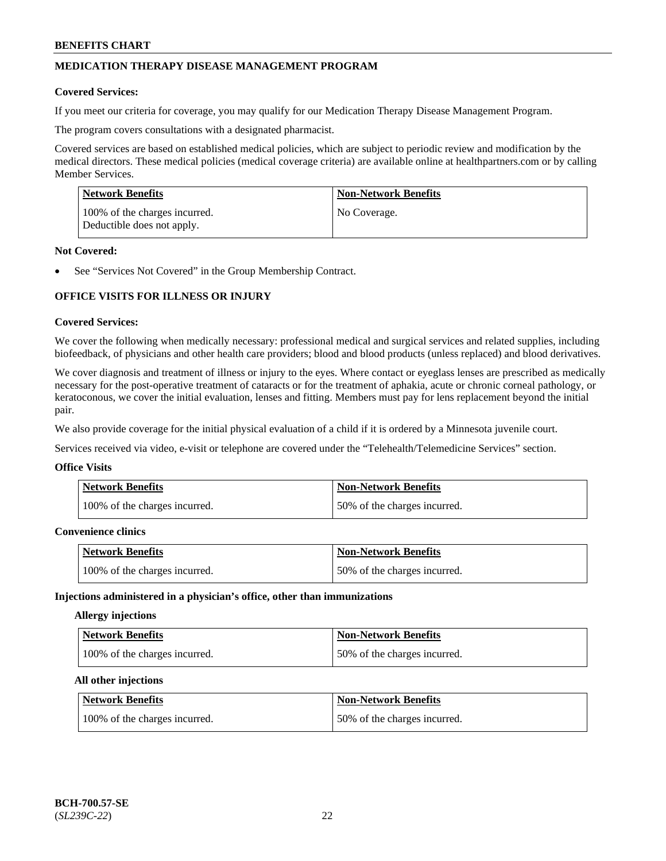## **MEDICATION THERAPY DISEASE MANAGEMENT PROGRAM**

#### **Covered Services:**

If you meet our criteria for coverage, you may qualify for our Medication Therapy Disease Management Program.

The program covers consultations with a designated pharmacist.

Covered services are based on established medical policies, which are subject to periodic review and modification by the medical directors. These medical policies (medical coverage criteria) are available online at [healthpartners.com](https://www.healthpartners.com/hp/index.html) or by calling Member Services.

| Network Benefits                                            | <b>Non-Network Benefits</b> |
|-------------------------------------------------------------|-----------------------------|
| 100% of the charges incurred.<br>Deductible does not apply. | No Coverage.                |

#### **Not Covered:**

See "Services Not Covered" in the Group Membership Contract.

## **OFFICE VISITS FOR ILLNESS OR INJURY**

#### **Covered Services:**

We cover the following when medically necessary: professional medical and surgical services and related supplies, including biofeedback, of physicians and other health care providers; blood and blood products (unless replaced) and blood derivatives.

We cover diagnosis and treatment of illness or injury to the eyes. Where contact or eyeglass lenses are prescribed as medically necessary for the post-operative treatment of cataracts or for the treatment of aphakia, acute or chronic corneal pathology, or keratoconous, we cover the initial evaluation, lenses and fitting. Members must pay for lens replacement beyond the initial pair.

We also provide coverage for the initial physical evaluation of a child if it is ordered by a Minnesota juvenile court.

Services received via video, e-visit or telephone are covered under the "Telehealth/Telemedicine Services" section.

#### **Office Visits**

| Network Benefits              | <b>Non-Network Benefits</b>  |
|-------------------------------|------------------------------|
| 100% of the charges incurred. | 50% of the charges incurred. |

## **Convenience clinics**

| <b>Network Benefits</b>       | <b>Non-Network Benefits</b>  |
|-------------------------------|------------------------------|
| 100% of the charges incurred. | 50% of the charges incurred. |

#### **Injections administered in a physician's office, other than immunizations**

## **Allergy injections**

| <b>Network Benefits</b>       | Non-Network Benefits         |
|-------------------------------|------------------------------|
| 100% of the charges incurred. | 50% of the charges incurred. |

#### **All other injections**

| Network Benefits              | <b>Non-Network Benefits</b>  |
|-------------------------------|------------------------------|
| 100% of the charges incurred. | 50% of the charges incurred. |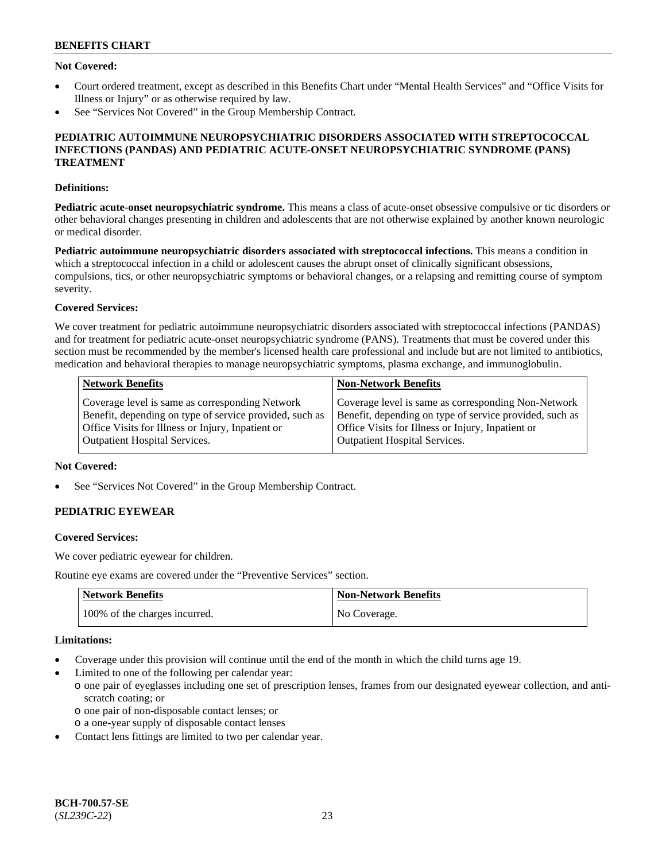## **Not Covered:**

- Court ordered treatment, except as described in this Benefits Chart under "Mental Health Services" and "Office Visits for Illness or Injury" or as otherwise required by law.
- See "Services Not Covered" in the Group Membership Contract.

### **PEDIATRIC AUTOIMMUNE NEUROPSYCHIATRIC DISORDERS ASSOCIATED WITH STREPTOCOCCAL INFECTIONS (PANDAS) AND PEDIATRIC ACUTE-ONSET NEUROPSYCHIATRIC SYNDROME (PANS) TREATMENT**

#### **Definitions:**

**Pediatric acute-onset neuropsychiatric syndrome.** This means a class of acute-onset obsessive compulsive or tic disorders or other behavioral changes presenting in children and adolescents that are not otherwise explained by another known neurologic or medical disorder.

**Pediatric autoimmune neuropsychiatric disorders associated with streptococcal infections.** This means a condition in which a streptococcal infection in a child or adolescent causes the abrupt onset of clinically significant obsessions, compulsions, tics, or other neuropsychiatric symptoms or behavioral changes, or a relapsing and remitting course of symptom severity.

## **Covered Services:**

We cover treatment for pediatric autoimmune neuropsychiatric disorders associated with streptococcal infections (PANDAS) and for treatment for pediatric acute-onset neuropsychiatric syndrome (PANS). Treatments that must be covered under this section must be recommended by the member's licensed health care professional and include but are not limited to antibiotics, medication and behavioral therapies to manage neuropsychiatric symptoms, plasma exchange, and immunoglobulin.

| <b>Network Benefits</b>                                 | <b>Non-Network Benefits</b>                             |
|---------------------------------------------------------|---------------------------------------------------------|
| Coverage level is same as corresponding Network         | Coverage level is same as corresponding Non-Network     |
| Benefit, depending on type of service provided, such as | Benefit, depending on type of service provided, such as |
| Office Visits for Illness or Injury, Inpatient or       | Office Visits for Illness or Injury, Inpatient or       |
| <b>Outpatient Hospital Services.</b>                    | <b>Outpatient Hospital Services.</b>                    |

## **Not Covered:**

See "Services Not Covered" in the Group Membership Contract.

## **PEDIATRIC EYEWEAR**

#### **Covered Services:**

We cover pediatric eyewear for children.

Routine eye exams are covered under the "Preventive Services" section.

| <b>Network Benefits</b>       | <b>Non-Network Benefits</b> |
|-------------------------------|-----------------------------|
| 100% of the charges incurred. | No Coverage.                |

#### **Limitations:**

- Coverage under this provision will continue until the end of the month in which the child turns age 19.
- Limited to one of the following per calendar year:
	- o one pair of eyeglasses including one set of prescription lenses, frames from our designated eyewear collection, and antiscratch coating; or
		- o one pair of non-disposable contact lenses; or
	- o a one-year supply of disposable contact lenses
- Contact lens fittings are limited to two per calendar year.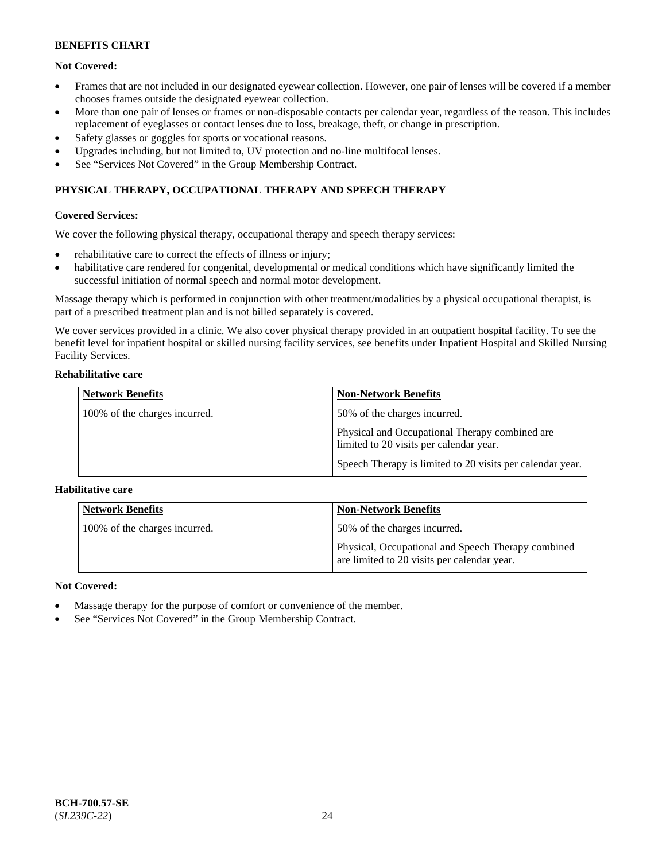## **Not Covered:**

- Frames that are not included in our designated eyewear collection. However, one pair of lenses will be covered if a member chooses frames outside the designated eyewear collection.
- More than one pair of lenses or frames or non-disposable contacts per calendar year, regardless of the reason. This includes replacement of eyeglasses or contact lenses due to loss, breakage, theft, or change in prescription.
- Safety glasses or goggles for sports or vocational reasons.
- Upgrades including, but not limited to, UV protection and no-line multifocal lenses.
- See "Services Not Covered" in the Group Membership Contract.

## **PHYSICAL THERAPY, OCCUPATIONAL THERAPY AND SPEECH THERAPY**

## **Covered Services:**

We cover the following physical therapy, occupational therapy and speech therapy services:

- rehabilitative care to correct the effects of illness or injury;
- habilitative care rendered for congenital, developmental or medical conditions which have significantly limited the successful initiation of normal speech and normal motor development.

Massage therapy which is performed in conjunction with other treatment/modalities by a physical occupational therapist, is part of a prescribed treatment plan and is not billed separately is covered.

We cover services provided in a clinic. We also cover physical therapy provided in an outpatient hospital facility. To see the benefit level for inpatient hospital or skilled nursing facility services, see benefits under Inpatient Hospital and Skilled Nursing Facility Services.

### **Rehabilitative care**

| <b>Network Benefits</b>       | <b>Non-Network Benefits</b>                                                               |
|-------------------------------|-------------------------------------------------------------------------------------------|
| 100% of the charges incurred. | 50% of the charges incurred.                                                              |
|                               | Physical and Occupational Therapy combined are<br>limited to 20 visits per calendar year. |
|                               | Speech Therapy is limited to 20 visits per calendar year.                                 |

## **Habilitative care**

| <b>Network Benefits</b>       | <b>Non-Network Benefits</b>                                                                       |
|-------------------------------|---------------------------------------------------------------------------------------------------|
| 100% of the charges incurred. | 50% of the charges incurred.                                                                      |
|                               | Physical, Occupational and Speech Therapy combined<br>are limited to 20 visits per calendar year. |

## **Not Covered:**

- Massage therapy for the purpose of comfort or convenience of the member.
- See "Services Not Covered" in the Group Membership Contract.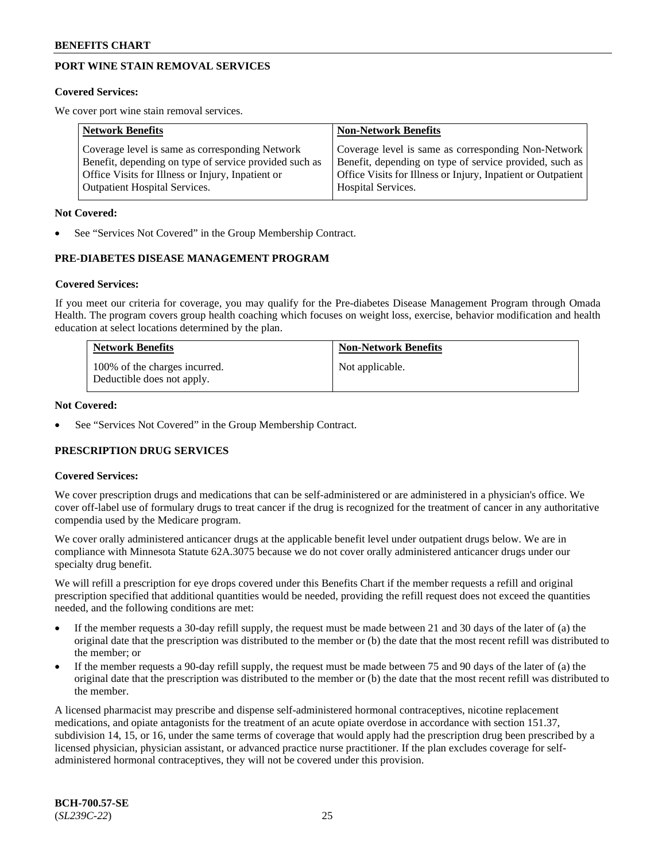## **PORT WINE STAIN REMOVAL SERVICES**

#### **Covered Services:**

We cover port wine stain removal services.

| <b>Network Benefits</b>                                | <b>Non-Network Benefits</b>                                  |
|--------------------------------------------------------|--------------------------------------------------------------|
| Coverage level is same as corresponding Network        | Coverage level is same as corresponding Non-Network          |
| Benefit, depending on type of service provided such as | Benefit, depending on type of service provided, such as      |
| Office Visits for Illness or Injury, Inpatient or      | Office Visits for Illness or Injury, Inpatient or Outpatient |
| <b>Outpatient Hospital Services.</b>                   | Hospital Services.                                           |

#### **Not Covered:**

See "Services Not Covered" in the Group Membership Contract.

## **PRE-DIABETES DISEASE MANAGEMENT PROGRAM**

#### **Covered Services:**

If you meet our criteria for coverage, you may qualify for the Pre-diabetes Disease Management Program through Omada Health. The program covers group health coaching which focuses on weight loss, exercise, behavior modification and health education at select locations determined by the plan.

| <b>Network Benefits</b>                                     | <b>Non-Network Benefits</b> |
|-------------------------------------------------------------|-----------------------------|
| 100% of the charges incurred.<br>Deductible does not apply. | Not applicable.             |

#### **Not Covered:**

See "Services Not Covered" in the Group Membership Contract.

## **PRESCRIPTION DRUG SERVICES**

## **Covered Services:**

We cover prescription drugs and medications that can be self-administered or are administered in a physician's office. We cover off-label use of formulary drugs to treat cancer if the drug is recognized for the treatment of cancer in any authoritative compendia used by the Medicare program.

We cover orally administered anticancer drugs at the applicable benefit level under outpatient drugs below. We are in compliance with Minnesota Statute 62A.3075 because we do not cover orally administered anticancer drugs under our specialty drug benefit.

We will refill a prescription for eye drops covered under this Benefits Chart if the member requests a refill and original prescription specified that additional quantities would be needed, providing the refill request does not exceed the quantities needed, and the following conditions are met:

- If the member requests a 30-day refill supply, the request must be made between 21 and 30 days of the later of (a) the original date that the prescription was distributed to the member or (b) the date that the most recent refill was distributed to the member; or
- If the member requests a 90-day refill supply, the request must be made between 75 and 90 days of the later of (a) the original date that the prescription was distributed to the member or (b) the date that the most recent refill was distributed to the member.

A licensed pharmacist may prescribe and dispense self-administered hormonal contraceptives, nicotine replacement medications, and opiate antagonists for the treatment of an acute opiate overdose in accordance with section 151.37, subdivision 14, 15, or 16, under the same terms of coverage that would apply had the prescription drug been prescribed by a licensed physician, physician assistant, or advanced practice nurse practitioner. If the plan excludes coverage for selfadministered hormonal contraceptives, they will not be covered under this provision.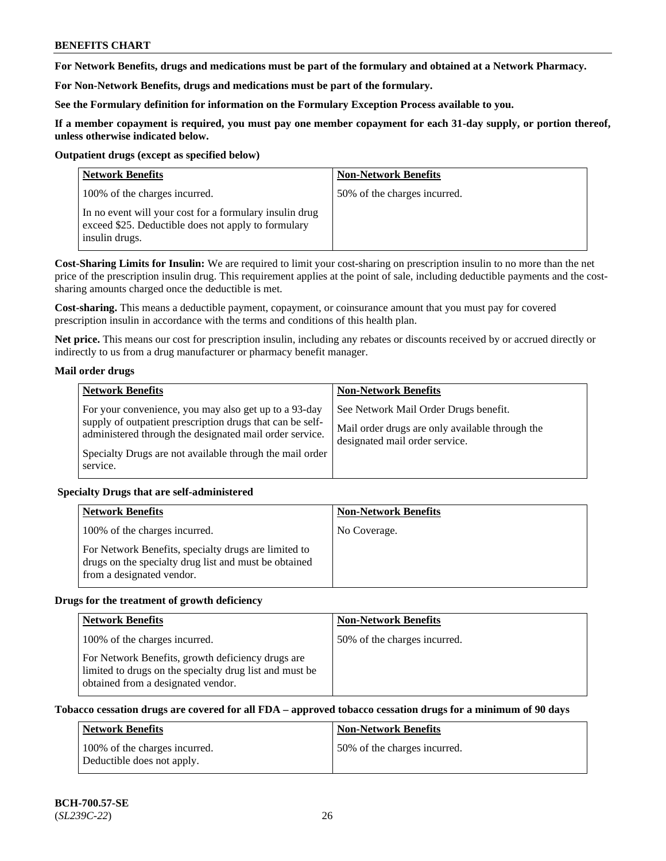**For Network Benefits, drugs and medications must be part of the formulary and obtained at a Network Pharmacy.**

**For Non-Network Benefits, drugs and medications must be part of the formulary.** 

**See the Formulary definition for information on the Formulary Exception Process available to you.**

**If a member copayment is required, you must pay one member copayment for each 31-day supply, or portion thereof, unless otherwise indicated below.**

#### **Outpatient drugs (except as specified below)**

| <b>Network Benefits</b>                                                                                                          | <b>Non-Network Benefits</b>  |
|----------------------------------------------------------------------------------------------------------------------------------|------------------------------|
| 100% of the charges incurred.                                                                                                    | 50% of the charges incurred. |
| In no event will your cost for a formulary insulin drug<br>exceed \$25. Deductible does not apply to formulary<br>insulin drugs. |                              |

**Cost-Sharing Limits for Insulin:** We are required to limit your cost-sharing on prescription insulin to no more than the net price of the prescription insulin drug. This requirement applies at the point of sale, including deductible payments and the costsharing amounts charged once the deductible is met.

**Cost-sharing.** This means a deductible payment, copayment, or coinsurance amount that you must pay for covered prescription insulin in accordance with the terms and conditions of this health plan.

**Net price.** This means our cost for prescription insulin, including any rebates or discounts received by or accrued directly or indirectly to us from a drug manufacturer or pharmacy benefit manager.

## **Mail order drugs**

| <b>Network Benefits</b>                                                                                                                                                                                                                               | <b>Non-Network Benefits</b>                                                                                                |
|-------------------------------------------------------------------------------------------------------------------------------------------------------------------------------------------------------------------------------------------------------|----------------------------------------------------------------------------------------------------------------------------|
| For your convenience, you may also get up to a 93-day<br>supply of outpatient prescription drugs that can be self-<br>administered through the designated mail order service.<br>Specialty Drugs are not available through the mail order<br>service. | See Network Mail Order Drugs benefit.<br>Mail order drugs are only available through the<br>designated mail order service. |

## **Specialty Drugs that are self-administered**

| <b>Network Benefits</b>                                                                                                                    | <b>Non-Network Benefits</b> |
|--------------------------------------------------------------------------------------------------------------------------------------------|-----------------------------|
| 100% of the charges incurred.                                                                                                              | No Coverage.                |
| For Network Benefits, specialty drugs are limited to<br>drugs on the specialty drug list and must be obtained<br>from a designated vendor. |                             |

## **Drugs for the treatment of growth deficiency**

| <b>Network Benefits</b>                                                                                                                            | <b>Non-Network Benefits</b>  |
|----------------------------------------------------------------------------------------------------------------------------------------------------|------------------------------|
| 100% of the charges incurred.                                                                                                                      | 50% of the charges incurred. |
| For Network Benefits, growth deficiency drugs are<br>limited to drugs on the specialty drug list and must be<br>obtained from a designated vendor. |                              |

## **Tobacco cessation drugs are covered for all FDA – approved tobacco cessation drugs for a minimum of 90 days**

| <b>Network Benefits</b>                                     | <b>Non-Network Benefits</b>   |
|-------------------------------------------------------------|-------------------------------|
| 100% of the charges incurred.<br>Deductible does not apply. | 150% of the charges incurred. |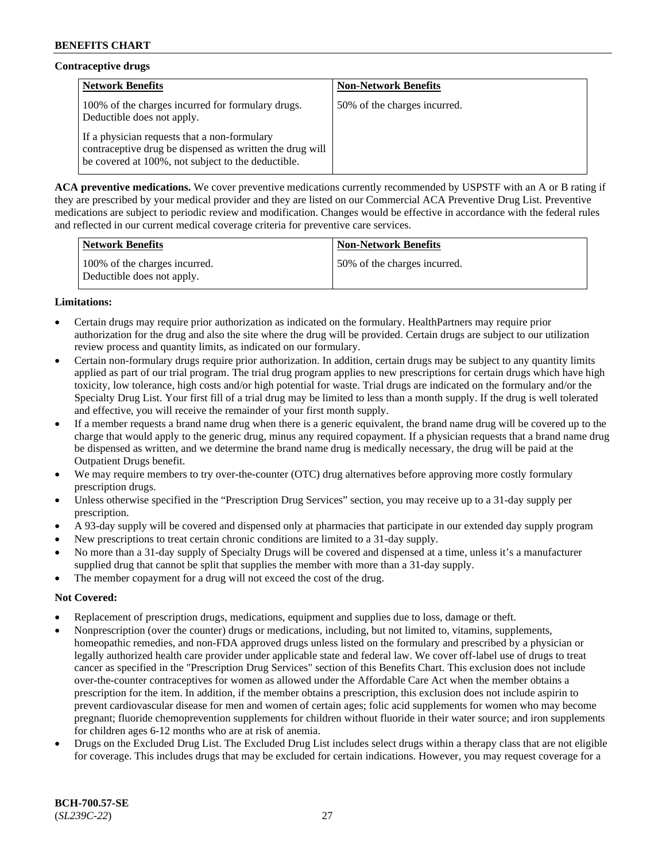## **Contraceptive drugs**

| <b>Network Benefits</b>                                                                                                                                        | <b>Non-Network Benefits</b>  |
|----------------------------------------------------------------------------------------------------------------------------------------------------------------|------------------------------|
| 100% of the charges incurred for formulary drugs.<br>Deductible does not apply.                                                                                | 50% of the charges incurred. |
| If a physician requests that a non-formulary<br>contraceptive drug be dispensed as written the drug will<br>be covered at 100%, not subject to the deductible. |                              |

**ACA preventive medications.** We cover preventive medications currently recommended by USPSTF with an A or B rating if they are prescribed by your medical provider and they are listed on our Commercial ACA Preventive Drug List. Preventive medications are subject to periodic review and modification. Changes would be effective in accordance with the federal rules and reflected in our current medical coverage criteria for preventive care services.

| <b>Network Benefits</b>                                     | <b>Non-Network Benefits</b>  |
|-------------------------------------------------------------|------------------------------|
| 100% of the charges incurred.<br>Deductible does not apply. | 50% of the charges incurred. |

## **Limitations:**

- Certain drugs may require prior authorization as indicated on the formulary. HealthPartners may require prior authorization for the drug and also the site where the drug will be provided. Certain drugs are subject to our utilization review process and quantity limits, as indicated on our formulary.
- Certain non-formulary drugs require prior authorization. In addition, certain drugs may be subject to any quantity limits applied as part of our trial program. The trial drug program applies to new prescriptions for certain drugs which have high toxicity, low tolerance, high costs and/or high potential for waste. Trial drugs are indicated on the formulary and/or the Specialty Drug List. Your first fill of a trial drug may be limited to less than a month supply. If the drug is well tolerated and effective, you will receive the remainder of your first month supply.
- If a member requests a brand name drug when there is a generic equivalent, the brand name drug will be covered up to the charge that would apply to the generic drug, minus any required copayment. If a physician requests that a brand name drug be dispensed as written, and we determine the brand name drug is medically necessary, the drug will be paid at the Outpatient Drugs benefit.
- We may require members to try over-the-counter (OTC) drug alternatives before approving more costly formulary prescription drugs.
- Unless otherwise specified in the "Prescription Drug Services" section, you may receive up to a 31-day supply per prescription.
- A 93-day supply will be covered and dispensed only at pharmacies that participate in our extended day supply program
- New prescriptions to treat certain chronic conditions are limited to a 31-day supply.
- No more than a 31-day supply of Specialty Drugs will be covered and dispensed at a time, unless it's a manufacturer supplied drug that cannot be split that supplies the member with more than a 31-day supply.
- The member copayment for a drug will not exceed the cost of the drug.

## **Not Covered:**

- Replacement of prescription drugs, medications, equipment and supplies due to loss, damage or theft.
- Nonprescription (over the counter) drugs or medications, including, but not limited to, vitamins, supplements, homeopathic remedies, and non-FDA approved drugs unless listed on the formulary and prescribed by a physician or legally authorized health care provider under applicable state and federal law. We cover off-label use of drugs to treat cancer as specified in the "Prescription Drug Services" section of this Benefits Chart. This exclusion does not include over-the-counter contraceptives for women as allowed under the Affordable Care Act when the member obtains a prescription for the item. In addition, if the member obtains a prescription, this exclusion does not include aspirin to prevent cardiovascular disease for men and women of certain ages; folic acid supplements for women who may become pregnant; fluoride chemoprevention supplements for children without fluoride in their water source; and iron supplements for children ages 6-12 months who are at risk of anemia.
- Drugs on the Excluded Drug List. The Excluded Drug List includes select drugs within a therapy class that are not eligible for coverage. This includes drugs that may be excluded for certain indications. However, you may request coverage for a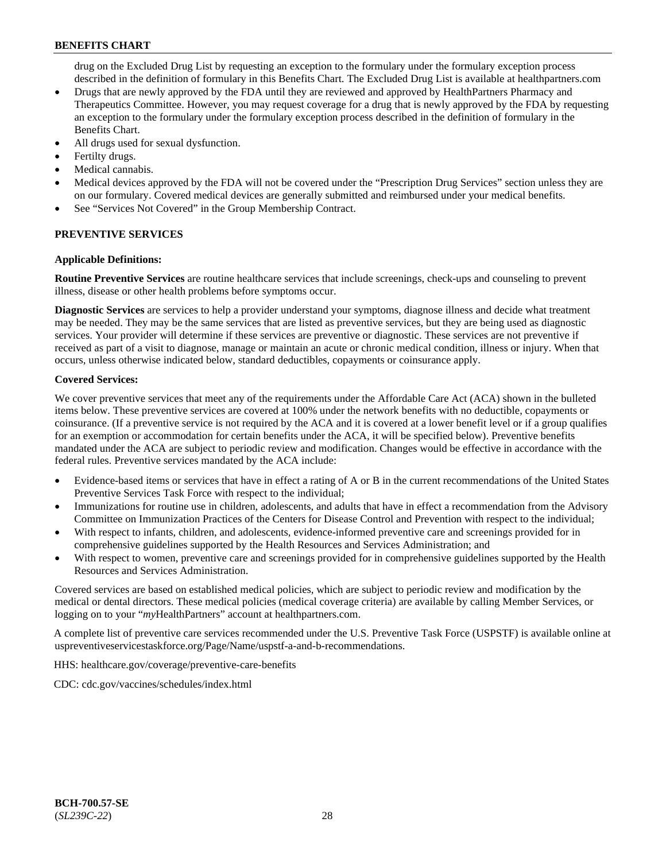drug on the Excluded Drug List by requesting an exception to the formulary under the formulary exception process described in the definition of formulary in this Benefits Chart. The Excluded Drug List is available at [healthpartners.com](http://www.healthpartners.com/)

- Drugs that are newly approved by the FDA until they are reviewed and approved by HealthPartners Pharmacy and Therapeutics Committee. However, you may request coverage for a drug that is newly approved by the FDA by requesting an exception to the formulary under the formulary exception process described in the definition of formulary in the Benefits Chart.
- All drugs used for sexual dysfunction.
- Fertilty drugs.
- Medical cannabis.
- Medical devices approved by the FDA will not be covered under the "Prescription Drug Services" section unless they are on our formulary. Covered medical devices are generally submitted and reimbursed under your medical benefits.
- See "Services Not Covered" in the Group Membership Contract.

## **PREVENTIVE SERVICES**

#### **Applicable Definitions:**

**Routine Preventive Services** are routine healthcare services that include screenings, check-ups and counseling to prevent illness, disease or other health problems before symptoms occur.

**Diagnostic Services** are services to help a provider understand your symptoms, diagnose illness and decide what treatment may be needed. They may be the same services that are listed as preventive services, but they are being used as diagnostic services. Your provider will determine if these services are preventive or diagnostic. These services are not preventive if received as part of a visit to diagnose, manage or maintain an acute or chronic medical condition, illness or injury. When that occurs, unless otherwise indicated below, standard deductibles, copayments or coinsurance apply.

#### **Covered Services:**

We cover preventive services that meet any of the requirements under the Affordable Care Act (ACA) shown in the bulleted items below. These preventive services are covered at 100% under the network benefits with no deductible, copayments or coinsurance. (If a preventive service is not required by the ACA and it is covered at a lower benefit level or if a group qualifies for an exemption or accommodation for certain benefits under the ACA, it will be specified below). Preventive benefits mandated under the ACA are subject to periodic review and modification. Changes would be effective in accordance with the federal rules. Preventive services mandated by the ACA include:

- Evidence-based items or services that have in effect a rating of A or B in the current recommendations of the United States Preventive Services Task Force with respect to the individual;
- Immunizations for routine use in children, adolescents, and adults that have in effect a recommendation from the Advisory Committee on Immunization Practices of the Centers for Disease Control and Prevention with respect to the individual;
- With respect to infants, children, and adolescents, evidence-informed preventive care and screenings provided for in comprehensive guidelines supported by the Health Resources and Services Administration; and
- With respect to women, preventive care and screenings provided for in comprehensive guidelines supported by the Health Resources and Services Administration.

Covered services are based on established medical policies, which are subject to periodic review and modification by the medical or dental directors. These medical policies (medical coverage criteria) are available by calling Member Services, or logging on to your "*my*HealthPartners" account at [healthpartners.com.](http://www.healthpartners.com/)

A complete list of preventive care services recommended under the U.S. Preventive Task Force (USPSTF) is available online at [uspreventiveservicestaskforce.org/Page/Name/uspstf-a-and-b-recommendations.](https://www.uspreventiveservicestaskforce.org/Page/Name/uspstf-a-and-b-recommendations-by-date/)

HHS: [healthcare.gov/coverage/preventive-care-benefits](https://www.healthcare.gov/coverage/preventive-care-benefits/)

CDC: [cdc.gov/vaccines/schedules/index.html](https://www.cdc.gov/vaccines/schedules/index.html)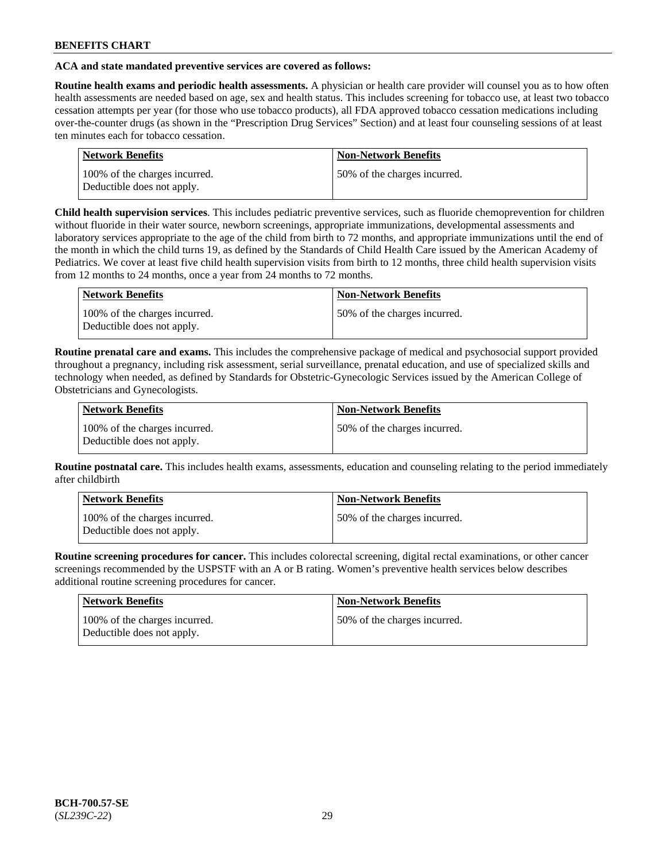## **ACA and state mandated preventive services are covered as follows:**

**Routine health exams and periodic health assessments.** A physician or health care provider will counsel you as to how often health assessments are needed based on age, sex and health status. This includes screening for tobacco use, at least two tobacco cessation attempts per year (for those who use tobacco products), all FDA approved tobacco cessation medications including over-the-counter drugs (as shown in the "Prescription Drug Services" Section) and at least four counseling sessions of at least ten minutes each for tobacco cessation.

| <b>Network Benefits</b>                                     | <b>Non-Network Benefits</b>  |
|-------------------------------------------------------------|------------------------------|
| 100% of the charges incurred.<br>Deductible does not apply. | 50% of the charges incurred. |

**Child health supervision services**. This includes pediatric preventive services, such as fluoride chemoprevention for children without fluoride in their water source, newborn screenings, appropriate immunizations, developmental assessments and laboratory services appropriate to the age of the child from birth to 72 months, and appropriate immunizations until the end of the month in which the child turns 19, as defined by the Standards of Child Health Care issued by the American Academy of Pediatrics. We cover at least five child health supervision visits from birth to 12 months, three child health supervision visits from 12 months to 24 months, once a year from 24 months to 72 months.

| Network Benefits                                            | <b>Non-Network Benefits</b>  |
|-------------------------------------------------------------|------------------------------|
| 100% of the charges incurred.<br>Deductible does not apply. | 50% of the charges incurred. |

**Routine prenatal care and exams.** This includes the comprehensive package of medical and psychosocial support provided throughout a pregnancy, including risk assessment, serial surveillance, prenatal education, and use of specialized skills and technology when needed, as defined by Standards for Obstetric-Gynecologic Services issued by the American College of Obstetricians and Gynecologists.

| Network Benefits                                            | <b>Non-Network Benefits</b>   |
|-------------------------------------------------------------|-------------------------------|
| 100% of the charges incurred.<br>Deductible does not apply. | 150% of the charges incurred. |

**Routine postnatal care.** This includes health exams, assessments, education and counseling relating to the period immediately after childbirth

| Network Benefits                                            | <b>Non-Network Benefits</b>  |
|-------------------------------------------------------------|------------------------------|
| 100% of the charges incurred.<br>Deductible does not apply. | 50% of the charges incurred. |

**Routine screening procedures for cancer.** This includes colorectal screening, digital rectal examinations, or other cancer screenings recommended by the USPSTF with an A or B rating. Women's preventive health services below describes additional routine screening procedures for cancer.

| Network Benefits                                            | <b>Non-Network Benefits</b>  |
|-------------------------------------------------------------|------------------------------|
| 100% of the charges incurred.<br>Deductible does not apply. | 50% of the charges incurred. |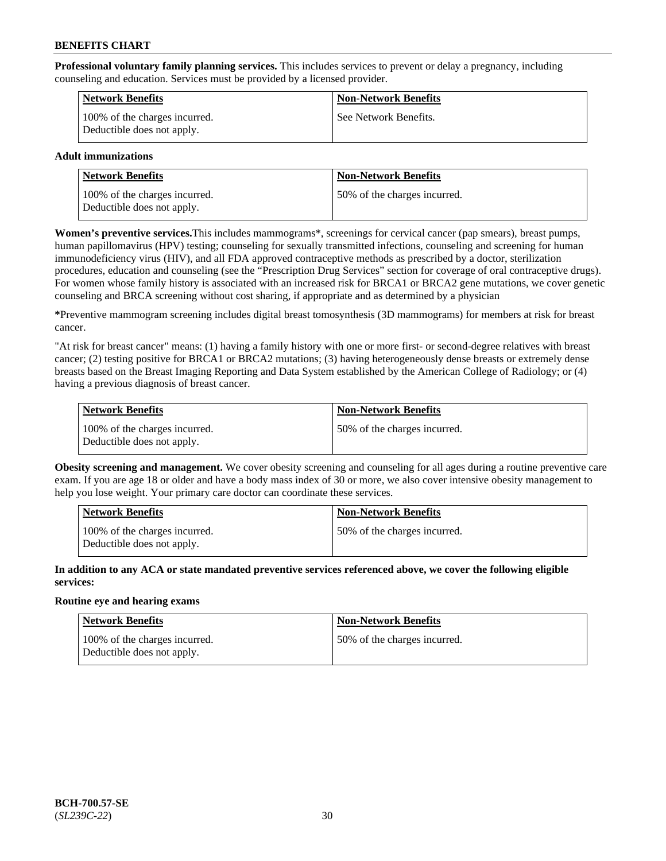**Professional voluntary family planning services.** This includes services to prevent or delay a pregnancy, including counseling and education. Services must be provided by a licensed provider.

| <b>Network Benefits</b>                                     | <b>Non-Network Benefits</b> |
|-------------------------------------------------------------|-----------------------------|
| 100% of the charges incurred.<br>Deductible does not apply. | See Network Benefits.       |

## **Adult immunizations**

| <b>Network Benefits</b>                                     | <b>Non-Network Benefits</b>  |
|-------------------------------------------------------------|------------------------------|
| 100% of the charges incurred.<br>Deductible does not apply. | 50% of the charges incurred. |

**Women's preventive services.**This includes mammograms\*, screenings for cervical cancer (pap smears), breast pumps, human papillomavirus (HPV) testing; counseling for sexually transmitted infections, counseling and screening for human immunodeficiency virus (HIV), and all FDA approved contraceptive methods as prescribed by a doctor, sterilization procedures, education and counseling (see the "Prescription Drug Services" section for coverage of oral contraceptive drugs). For women whose family history is associated with an increased risk for BRCA1 or BRCA2 gene mutations, we cover genetic counseling and BRCA screening without cost sharing, if appropriate and as determined by a physician

**\***Preventive mammogram screening includes digital breast tomosynthesis (3D mammograms) for members at risk for breast cancer.

"At risk for breast cancer" means: (1) having a family history with one or more first- or second-degree relatives with breast cancer; (2) testing positive for BRCA1 or BRCA2 mutations; (3) having heterogeneously dense breasts or extremely dense breasts based on the Breast Imaging Reporting and Data System established by the American College of Radiology; or (4) having a previous diagnosis of breast cancer.

| Network Benefits                                            | <b>Non-Network Benefits</b>  |
|-------------------------------------------------------------|------------------------------|
| 100% of the charges incurred.<br>Deductible does not apply. | 50% of the charges incurred. |

**Obesity screening and management.** We cover obesity screening and counseling for all ages during a routine preventive care exam. If you are age 18 or older and have a body mass index of 30 or more, we also cover intensive obesity management to help you lose weight. Your primary care doctor can coordinate these services.

| Network Benefits                                            | <b>Non-Network Benefits</b>  |
|-------------------------------------------------------------|------------------------------|
| 100% of the charges incurred.<br>Deductible does not apply. | 50% of the charges incurred. |

**In addition to any ACA or state mandated preventive services referenced above, we cover the following eligible services:**

## **Routine eye and hearing exams**

| Network Benefits                                            | <b>Non-Network Benefits</b>  |
|-------------------------------------------------------------|------------------------------|
| 100% of the charges incurred.<br>Deductible does not apply. | 50% of the charges incurred. |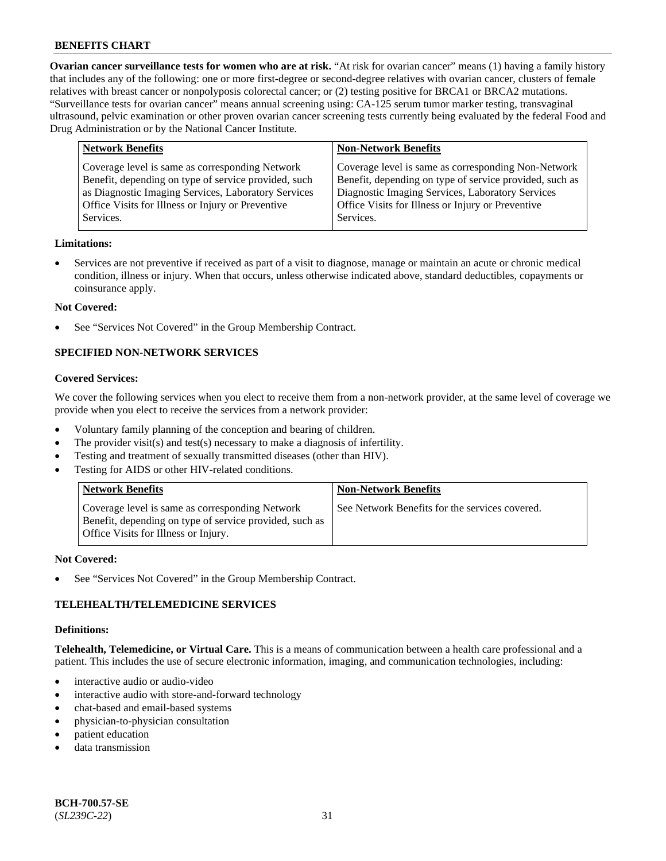**Ovarian cancer surveillance tests for women who are at risk.** "At risk for ovarian cancer" means (1) having a family history that includes any of the following: one or more first-degree or second-degree relatives with ovarian cancer, clusters of female relatives with breast cancer or nonpolyposis colorectal cancer; or (2) testing positive for BRCA1 or BRCA2 mutations. "Surveillance tests for ovarian cancer" means annual screening using: CA-125 serum tumor marker testing, transvaginal ultrasound, pelvic examination or other proven ovarian cancer screening tests currently being evaluated by the federal Food and Drug Administration or by the National Cancer Institute.

| <b>Network Benefits</b>                                                                                                                                                                                                          | <b>Non-Network Benefits</b>                                                                                                                                                                                                          |
|----------------------------------------------------------------------------------------------------------------------------------------------------------------------------------------------------------------------------------|--------------------------------------------------------------------------------------------------------------------------------------------------------------------------------------------------------------------------------------|
| Coverage level is same as corresponding Network<br>Benefit, depending on type of service provided, such<br>as Diagnostic Imaging Services, Laboratory Services<br>Office Visits for Illness or Injury or Preventive<br>Services. | Coverage level is same as corresponding Non-Network<br>Benefit, depending on type of service provided, such as<br>Diagnostic Imaging Services, Laboratory Services<br>Office Visits for Illness or Injury or Preventive<br>Services. |
|                                                                                                                                                                                                                                  |                                                                                                                                                                                                                                      |

#### **Limitations:**

• Services are not preventive if received as part of a visit to diagnose, manage or maintain an acute or chronic medical condition, illness or injury. When that occurs, unless otherwise indicated above, standard deductibles, copayments or coinsurance apply.

#### **Not Covered:**

See "Services Not Covered" in the Group Membership Contract.

## **SPECIFIED NON-NETWORK SERVICES**

#### **Covered Services:**

We cover the following services when you elect to receive them from a non-network provider, at the same level of coverage we provide when you elect to receive the services from a network provider:

- Voluntary family planning of the conception and bearing of children.
- The provider visit(s) and test(s) necessary to make a diagnosis of infertility.
- Testing and treatment of sexually transmitted diseases (other than HIV).
- Testing for AIDS or other HIV-related conditions.

| <b>Network Benefits</b>                                                                                                                            | <b>Non-Network Benefits</b>                    |
|----------------------------------------------------------------------------------------------------------------------------------------------------|------------------------------------------------|
| Coverage level is same as corresponding Network<br>Benefit, depending on type of service provided, such as<br>Office Visits for Illness or Injury. | See Network Benefits for the services covered. |

#### **Not Covered:**

See "Services Not Covered" in the Group Membership Contract.

## **TELEHEALTH/TELEMEDICINE SERVICES**

#### **Definitions:**

**Telehealth, Telemedicine, or Virtual Care.** This is a means of communication between a health care professional and a patient. This includes the use of secure electronic information, imaging, and communication technologies, including:

- interactive audio or audio-video
- interactive audio with store-and-forward technology
- chat-based and email-based systems
- physician-to-physician consultation
- patient education
- data transmission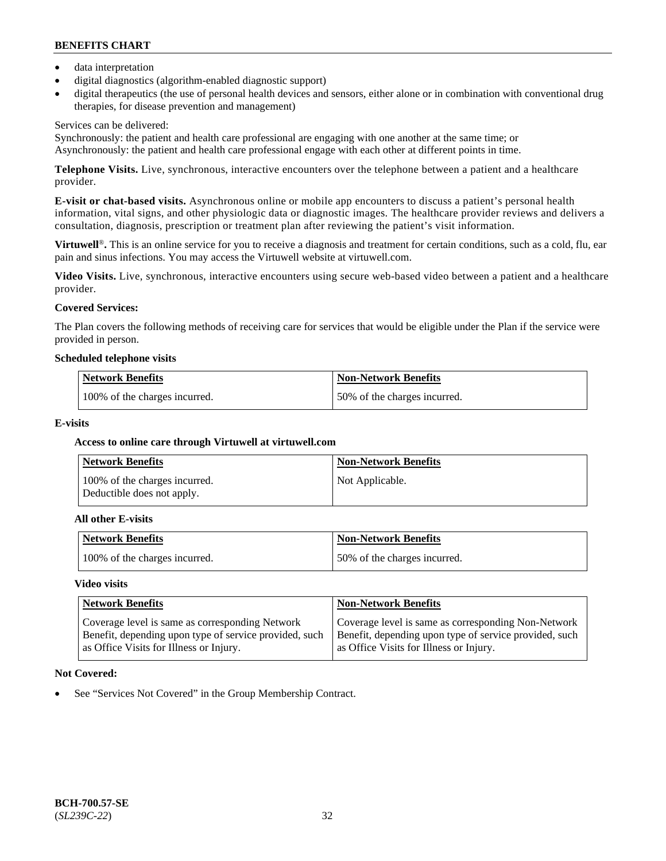- data interpretation
- digital diagnostics (algorithm-enabled diagnostic support)
- digital therapeutics (the use of personal health devices and sensors, either alone or in combination with conventional drug therapies, for disease prevention and management)

## Services can be delivered:

Synchronously: the patient and health care professional are engaging with one another at the same time; or Asynchronously: the patient and health care professional engage with each other at different points in time.

**Telephone Visits.** Live, synchronous, interactive encounters over the telephone between a patient and a healthcare provider.

**E-visit or chat-based visits.** Asynchronous online or mobile app encounters to discuss a patient's personal health information, vital signs, and other physiologic data or diagnostic images. The healthcare provider reviews and delivers a consultation, diagnosis, prescription or treatment plan after reviewing the patient's visit information.

**Virtuwell<sup>®</sup>**. This is an online service for you to receive a diagnosis and treatment for certain conditions, such as a cold, flu, ear pain and sinus infections. You may access the Virtuwell website at [virtuwell.com.](https://www.virtuwell.com/)

**Video Visits.** Live, synchronous, interactive encounters using secure web-based video between a patient and a healthcare provider.

## **Covered Services:**

The Plan covers the following methods of receiving care for services that would be eligible under the Plan if the service were provided in person.

#### **Scheduled telephone visits**

| <b>Network Benefits</b>       | Non-Network Benefits         |
|-------------------------------|------------------------------|
| 100% of the charges incurred. | 50% of the charges incurred. |

## **E-visits**

## **Access to online care through Virtuwell at [virtuwell.com](https://www.virtuwell.com/)**

| <b>Network Benefits</b>                                     | <b>Non-Network Benefits</b> |
|-------------------------------------------------------------|-----------------------------|
| 100% of the charges incurred.<br>Deductible does not apply. | Not Applicable.             |

#### **All other E-visits**

| <b>Network Benefits</b>       | <b>Non-Network Benefits</b>  |
|-------------------------------|------------------------------|
| 100% of the charges incurred. | 50% of the charges incurred. |

#### **Video visits**

| <b>Network Benefits</b>                                                                                                                              | <b>Non-Network Benefits</b>                                                                                                                              |
|------------------------------------------------------------------------------------------------------------------------------------------------------|----------------------------------------------------------------------------------------------------------------------------------------------------------|
| Coverage level is same as corresponding Network<br>Benefit, depending upon type of service provided, such<br>as Office Visits for Illness or Injury. | Coverage level is same as corresponding Non-Network<br>Benefit, depending upon type of service provided, such<br>as Office Visits for Illness or Injury. |

## **Not Covered:**

See "Services Not Covered" in the Group Membership Contract.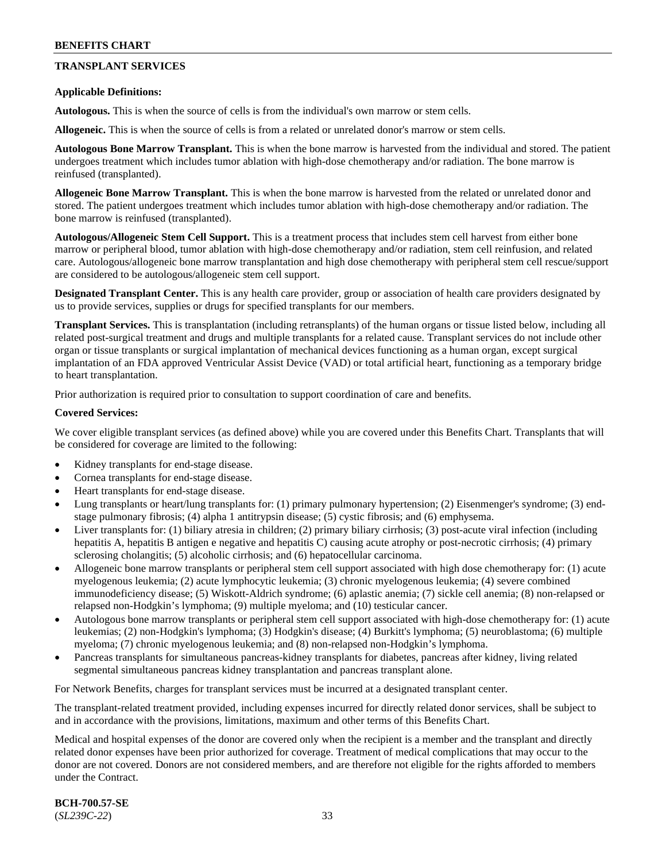## **TRANSPLANT SERVICES**

### **Applicable Definitions:**

**Autologous.** This is when the source of cells is from the individual's own marrow or stem cells.

**Allogeneic.** This is when the source of cells is from a related or unrelated donor's marrow or stem cells.

**Autologous Bone Marrow Transplant.** This is when the bone marrow is harvested from the individual and stored. The patient undergoes treatment which includes tumor ablation with high-dose chemotherapy and/or radiation. The bone marrow is reinfused (transplanted).

**Allogeneic Bone Marrow Transplant.** This is when the bone marrow is harvested from the related or unrelated donor and stored. The patient undergoes treatment which includes tumor ablation with high-dose chemotherapy and/or radiation. The bone marrow is reinfused (transplanted).

**Autologous/Allogeneic Stem Cell Support.** This is a treatment process that includes stem cell harvest from either bone marrow or peripheral blood, tumor ablation with high-dose chemotherapy and/or radiation, stem cell reinfusion, and related care. Autologous/allogeneic bone marrow transplantation and high dose chemotherapy with peripheral stem cell rescue/support are considered to be autologous/allogeneic stem cell support.

**Designated Transplant Center.** This is any health care provider, group or association of health care providers designated by us to provide services, supplies or drugs for specified transplants for our members.

**Transplant Services.** This is transplantation (including retransplants) of the human organs or tissue listed below, including all related post-surgical treatment and drugs and multiple transplants for a related cause. Transplant services do not include other organ or tissue transplants or surgical implantation of mechanical devices functioning as a human organ, except surgical implantation of an FDA approved Ventricular Assist Device (VAD) or total artificial heart, functioning as a temporary bridge to heart transplantation.

Prior authorization is required prior to consultation to support coordination of care and benefits.

#### **Covered Services:**

We cover eligible transplant services (as defined above) while you are covered under this Benefits Chart. Transplants that will be considered for coverage are limited to the following:

- Kidney transplants for end-stage disease.
- Cornea transplants for end-stage disease.
- Heart transplants for end-stage disease.
- Lung transplants or heart/lung transplants for: (1) primary pulmonary hypertension; (2) Eisenmenger's syndrome; (3) endstage pulmonary fibrosis; (4) alpha 1 antitrypsin disease; (5) cystic fibrosis; and (6) emphysema.
- Liver transplants for: (1) biliary atresia in children; (2) primary biliary cirrhosis; (3) post-acute viral infection (including hepatitis A, hepatitis B antigen e negative and hepatitis C) causing acute atrophy or post-necrotic cirrhosis; (4) primary sclerosing cholangitis; (5) alcoholic cirrhosis; and (6) hepatocellular carcinoma.
- Allogeneic bone marrow transplants or peripheral stem cell support associated with high dose chemotherapy for: (1) acute myelogenous leukemia; (2) acute lymphocytic leukemia; (3) chronic myelogenous leukemia; (4) severe combined immunodeficiency disease; (5) Wiskott-Aldrich syndrome; (6) aplastic anemia; (7) sickle cell anemia; (8) non-relapsed or relapsed non-Hodgkin's lymphoma; (9) multiple myeloma; and (10) testicular cancer.
- Autologous bone marrow transplants or peripheral stem cell support associated with high-dose chemotherapy for: (1) acute leukemias; (2) non-Hodgkin's lymphoma; (3) Hodgkin's disease; (4) Burkitt's lymphoma; (5) neuroblastoma; (6) multiple myeloma; (7) chronic myelogenous leukemia; and (8) non-relapsed non-Hodgkin's lymphoma.
- Pancreas transplants for simultaneous pancreas-kidney transplants for diabetes, pancreas after kidney, living related segmental simultaneous pancreas kidney transplantation and pancreas transplant alone.

For Network Benefits, charges for transplant services must be incurred at a designated transplant center.

The transplant-related treatment provided, including expenses incurred for directly related donor services, shall be subject to and in accordance with the provisions, limitations, maximum and other terms of this Benefits Chart.

Medical and hospital expenses of the donor are covered only when the recipient is a member and the transplant and directly related donor expenses have been prior authorized for coverage. Treatment of medical complications that may occur to the donor are not covered. Donors are not considered members, and are therefore not eligible for the rights afforded to members under the Contract.